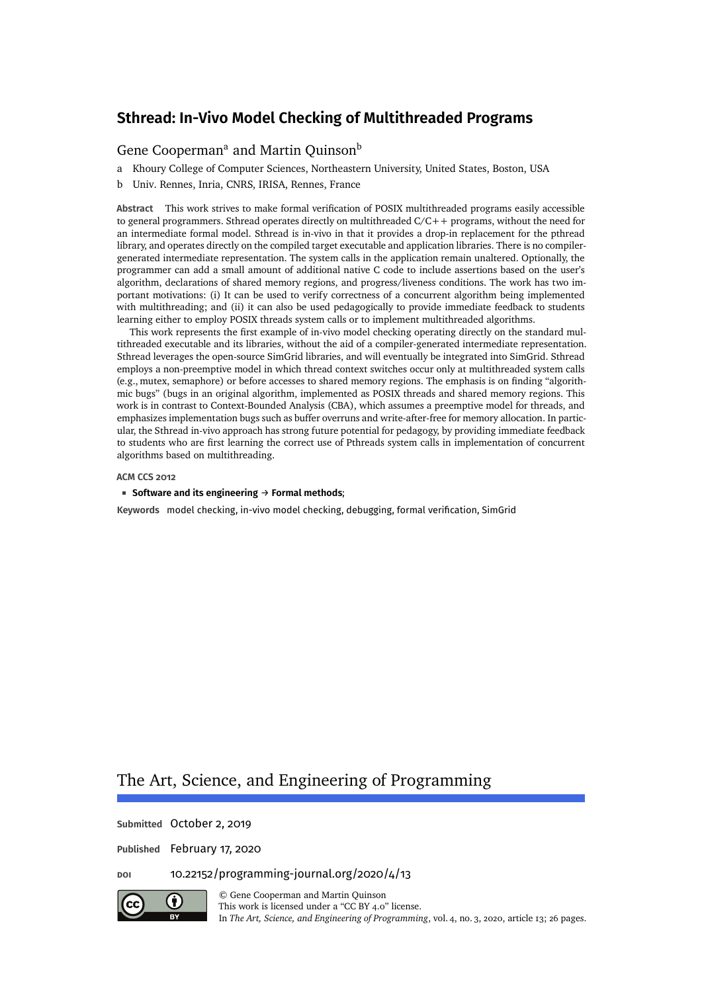## [Gene Cooperman](#page-25-0)<sup>a</sup> and [Martin Quinson](#page-25-1)<sup>b</sup>

- a Khoury College of Computer Sciences, Northeastern University, United States, Boston, USA
- b Univ. Rennes, Inria, CNRS, IRISA, Rennes, France

**Abstract** This work strives to make formal verification of POSIX multithreaded programs easily accessible to general programmers. Sthread operates directly on multithreaded C/C++ programs, without the need for an intermediate formal model. Sthread is in-vivo in that it provides a drop-in replacement for the pthread library, and operates directly on the compiled target executable and application libraries. There is no compilergenerated intermediate representation. The system calls in the application remain unaltered. Optionally, the programmer can add a small amount of additional native C code to include assertions based on the user's algorithm, declarations of shared memory regions, and progress/liveness conditions. The work has two important motivations: (i) It can be used to verify correctness of a concurrent algorithm being implemented with multithreading; and (ii) it can also be used pedagogically to provide immediate feedback to students learning either to employ POSIX threads system calls or to implement multithreaded algorithms.

This work represents the first example of in-vivo model checking operating directly on the standard multithreaded executable and its libraries, without the aid of a compiler-generated intermediate representation. Sthread leverages the open-source SimGrid libraries, and will eventually be integrated into SimGrid. Sthread employs a non-preemptive model in which thread context switches occur only at multithreaded system calls (e.g., mutex, semaphore) or before accesses to shared memory regions. The emphasis is on finding "algorithmic bugs" (bugs in an original algorithm, implemented as POSIX threads and shared memory regions. This work is in contrast to Context-Bounded Analysis (CBA), which assumes a preemptive model for threads, and emphasizes implementation bugs such as buffer overruns and write-after-free for memory allocation. In particular, the Sthread in-vivo approach has strong future potential for pedagogy, by providing immediate feedback to students who are first learning the correct use of Pthreads system calls in implementation of concurrent algorithms based on multithreading.

#### **ACM CCS 2012**

#### **Software and its engineering** → **Formal methods**;

**Keywords** model checking, in-vivo model checking, debugging, formal verification, SimGrid

# The Art, Science, and Engineering of Programming

**Submitted** October 2, 2019

**Published** February 17, 2020

**doi** [10.22152/programming-journal.org/2020/4/13](https://doi.org/10.22152/programming-journal.org/2020/4/13)



© [Gene Cooperman](#page-25-0) and [Martin Quinson](#page-25-1) This work is licensed undera ["CC BY 4.0"](https://creativecommons.org/licenses/by/4.0/deed.en) license.

In *The Art, Science, and Engineering of Programming*, vol. 4, no. 3, 2020, article 13; [26](#page-25-2) pages.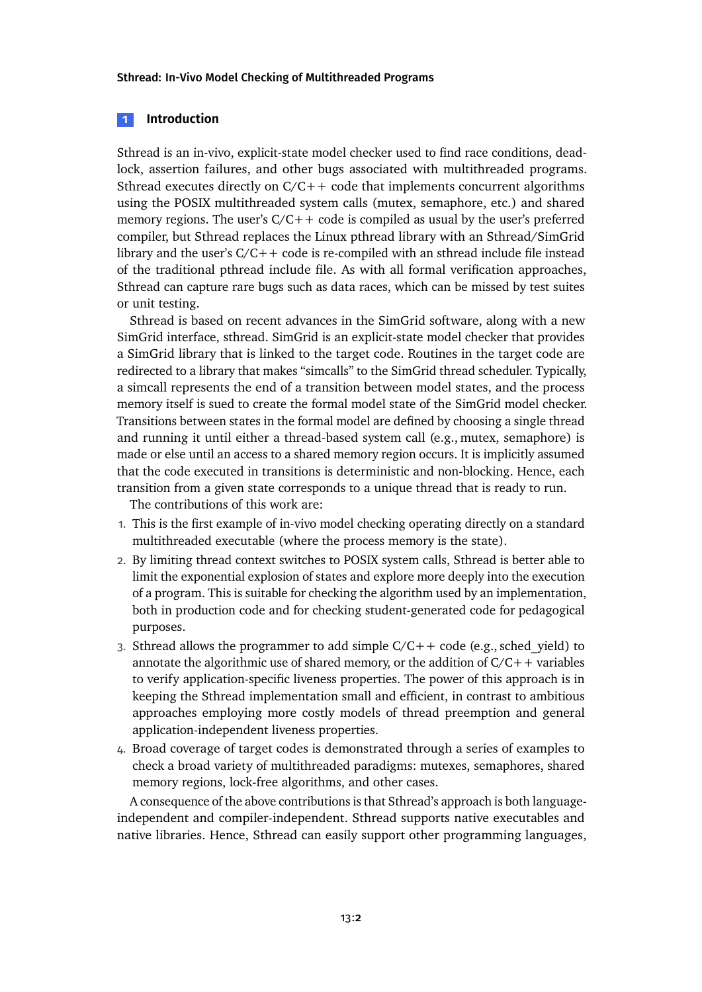#### **1 Introduction**

Sthread is an in-vivo, explicit-state model checker used to find race conditions, deadlock, assertion failures, and other bugs associated with multithreaded programs. Sthread executes directly on  $C/C++$  code that implements concurrent algorithms using the POSIX multithreaded system calls (mutex, semaphore, etc.) and shared memory regions. The user's  $C/C++$  code is compiled as usual by the user's preferred compiler, but Sthread replaces the Linux pthread library with an Sthread/SimGrid library and the user's  $C/C++$  code is re-compiled with an sthread include file instead of the traditional pthread include file. As with all formal verification approaches, Sthread can capture rare bugs such as data races, which can be missed by test suites or unit testing.

Sthread is based on recent advances in the SimGrid software, along with a new SimGrid interface, sthread. SimGrid is an explicit-state model checker that provides a SimGrid library that is linked to the target code. Routines in the target code are redirected to a library that makes "simcalls" to the SimGrid thread scheduler. Typically, a simcall represents the end of a transition between model states, and the process memory itself is sued to create the formal model state of the SimGrid model checker. Transitions between states in the formal model are defined by choosing a single thread and running it until either a thread-based system call (e.g., mutex, semaphore) is made or else until an access to a shared memory region occurs. It is implicitly assumed that the code executed in transitions is deterministic and non-blocking. Hence, each transition from a given state corresponds to a unique thread that is ready to run.

The contributions of this work are:

- 1. This is the first example of in-vivo model checking operating directly on a standard multithreaded executable (where the process memory is the state).
- 2. By limiting thread context switches to POSIX system calls, Sthread is better able to limit the exponential explosion of states and explore more deeply into the execution of a program. This is suitable for checking the algorithm used by an implementation, both in production code and for checking student-generated code for pedagogical purposes.
- 3. Sthread allows the programmer to add simple  $C/C++$  code (e.g., sched yield) to annotate the algorithmic use of shared memory, or the addition of  $C/C++$  variables to verify application-specific liveness properties. The power of this approach is in keeping the Sthread implementation small and efficient, in contrast to ambitious approaches employing more costly models of thread preemption and general application-independent liveness properties.
- 4. Broad coverage of target codes is demonstrated through a series of examples to check a broad variety of multithreaded paradigms: mutexes, semaphores, shared memory regions, lock-free algorithms, and other cases.

A consequence of the above contributions is that Sthread's approach is both languageindependent and compiler-independent. Sthread supports native executables and native libraries. Hence, Sthread can easily support other programming languages,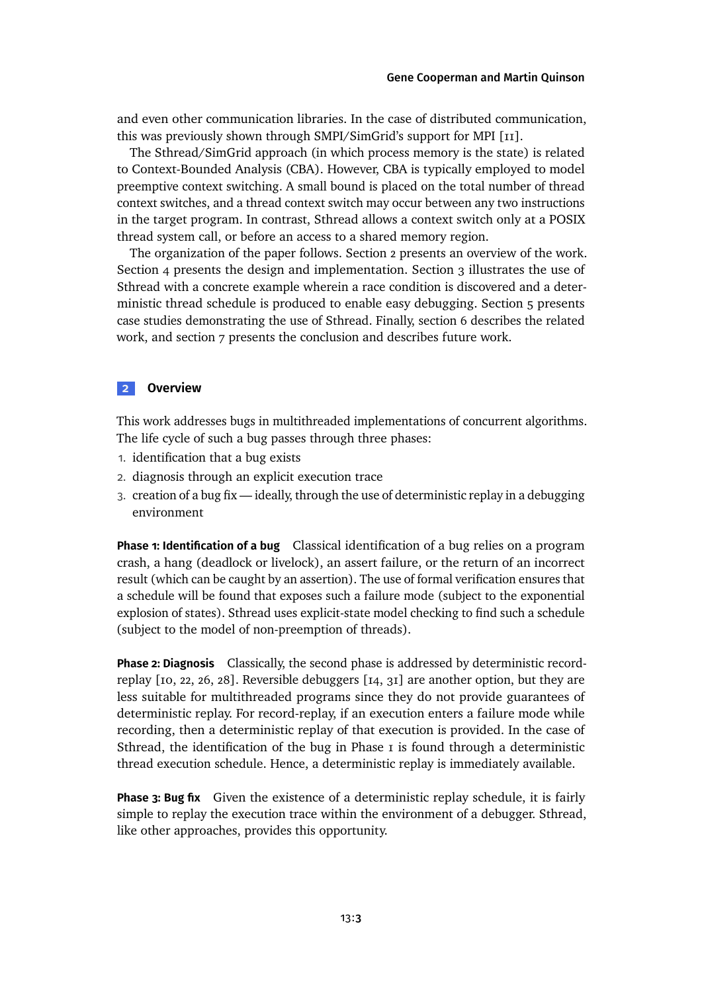and even other communication libraries. In the case of distributed communication, this was previously shown through SMPI/SimGrid's support for MPI [\[11\]](#page-22-0).

The Sthread/SimGrid approach (in which process memory is the state) is related to Context-Bounded Analysis (CBA). However, CBA is typically employed to model preemptive context switching. A small bound is placed on the total number of thread context switches, and a thread context switch may occur between any two instructions in the target program. In contrast, Sthread allows a context switch only at a POSIX thread system call, or before an access to a shared memory region.

The organization of the paper follows. [Section 2](#page-2-0) presents an overview of the work. [Section 4](#page-4-0) presents the design and implementation. [Section 3](#page-3-0) illustrates the use of Sthread with a concrete example wherein a race condition is discovered and a deterministic thread schedule is produced to enable easy debugging. [Section 5](#page-8-0) presents case studies demonstrating the use of Sthread. Finally, [section 6](#page-18-0) describes the related work, and [section 7](#page-21-0) presents the conclusion and describes future work.

## <span id="page-2-0"></span>**2 Overview**

This work addresses bugs in multithreaded implementations of concurrent algorithms. The life cycle of such a bug passes through three phases:

- 1. identification that a bug exists
- 2. diagnosis through an explicit execution trace
- 3. creation of a bug fix ideally, through the use of deterministic replay in a debugging environment

**Phase 1: Identification of a bug** Classical identification of a bug relies on a program crash, a hang (deadlock or livelock), an assert failure, or the return of an incorrect result (which can be caught by an assertion). The use of formal verification ensures that a schedule will be found that exposes such a failure mode (subject to the exponential explosion of states). Sthread uses explicit-state model checking to find such a schedule (subject to the model of non-preemption of threads).

**Phase 2: Diagnosis** Classically, the second phase is addressed by deterministic recordreplay [\[10,](#page-22-1) [22,](#page-23-0) [26,](#page-23-1) [28\]](#page-24-0). Reversible debuggers [\[14,](#page-22-2) [31\]](#page-24-1) are another option, but they are less suitable for multithreaded programs since they do not provide guarantees of deterministic replay. For record-replay, if an execution enters a failure mode while recording, then a deterministic replay of that execution is provided. In the case of Sthread, the identification of the bug in Phase  $\bar{I}$  is found through a deterministic thread execution schedule. Hence, a deterministic replay is immediately available.

**Phase 3: Bug fix** Given the existence of a deterministic replay schedule, it is fairly simple to replay the execution trace within the environment of a debugger. Sthread, like other approaches, provides this opportunity.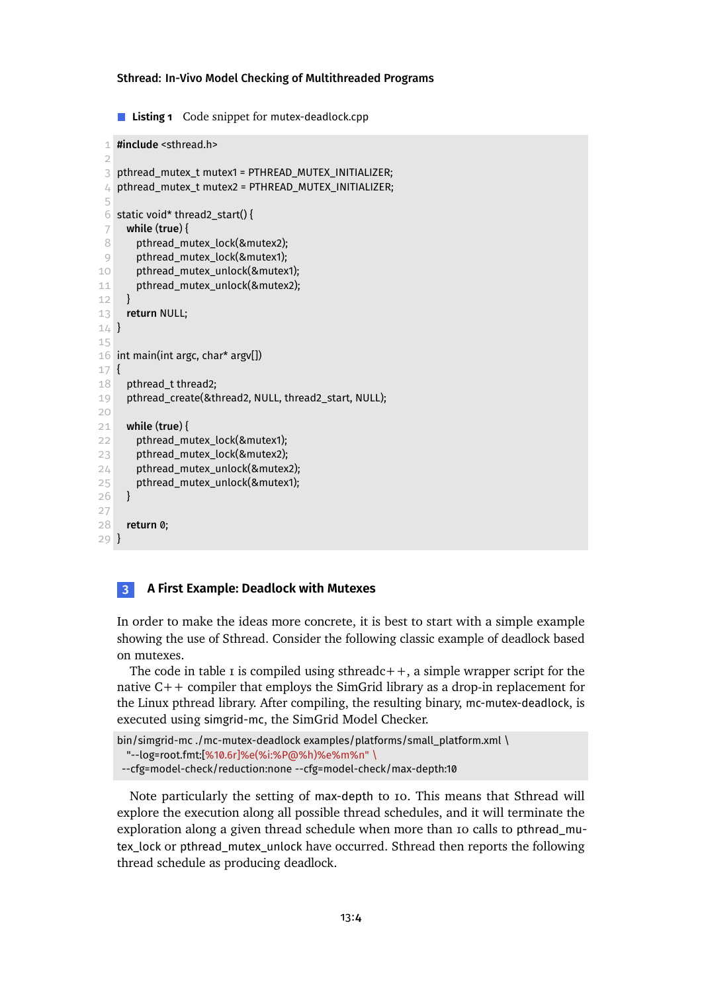<span id="page-3-1"></span>**Listing 1** Code snippet for mutex-deadlock.cpp

```
1 #include <sthread.h>
 2
 3 pthread_mutex_t mutex1 = PTHREAD_MUTEX_INITIALIZER;
 4 pthread_mutex_t mutex2 = PTHREAD_MUTEX_INITIALIZER;
 5
 6 static void* thread2_start() {
 7 while (true) {
8 pthread_mutex_lock(&mutex2);
9 pthread_mutex_lock(&mutex1);
10 pthread mutex unlock(&mutex1);
11 pthread_mutex_unlock(&mutex2);
12 \quad \}13 return NULL;
14 }
15
16 int main(int argc, char* argv[])
17 {
18 pthread_t thread2;
19 pthread_create(&thread2, NULL, thread2_start, NULL);
20
21 while (true) {
22 pthread_mutex_lock(&mutex1);
23 pthread_mutex_lock(&mutex2);
24 pthread_mutex_unlock(&mutex2);
25 pthread_mutex_unlock(&mutex1);
26 }
27
28 return 0;
29 }
```
### <span id="page-3-0"></span>**3 A First Example: Deadlock with Mutexes**

In order to make the ideas more concrete, it is best to start with a simple example showing the use of Sthread. Consider the following classic example of deadlock based on mutexes.

The code in [table 1](#page-3-1) is compiled using sthreadc $++$ , a simple wrapper script for the native C++ compiler that employs the SimGrid library as a drop-in replacement for the Linux pthread library. After compiling, the resulting binary, mc-mutex-deadlock, is executed using simgrid-mc, the SimGrid Model Checker.

```
bin/simgrid-mc ./mc-mutex-deadlock examples/platforms/small_platform.xml \
 "--log=root.fmt:[%10.6r]%e(%i:%P@%h)%e%m%n" \
--cfg=model-check/reduction:none --cfg=model-check/max-depth:10
```
Note particularly the setting of max-depth to 10. This means that Sthread will explore the execution along all possible thread schedules, and it will terminate the exploration along a given thread schedule when more than 10 calls to pthread\_mutex lock or pthread mutex unlock have occurred. Sthread then reports the following thread schedule as producing deadlock.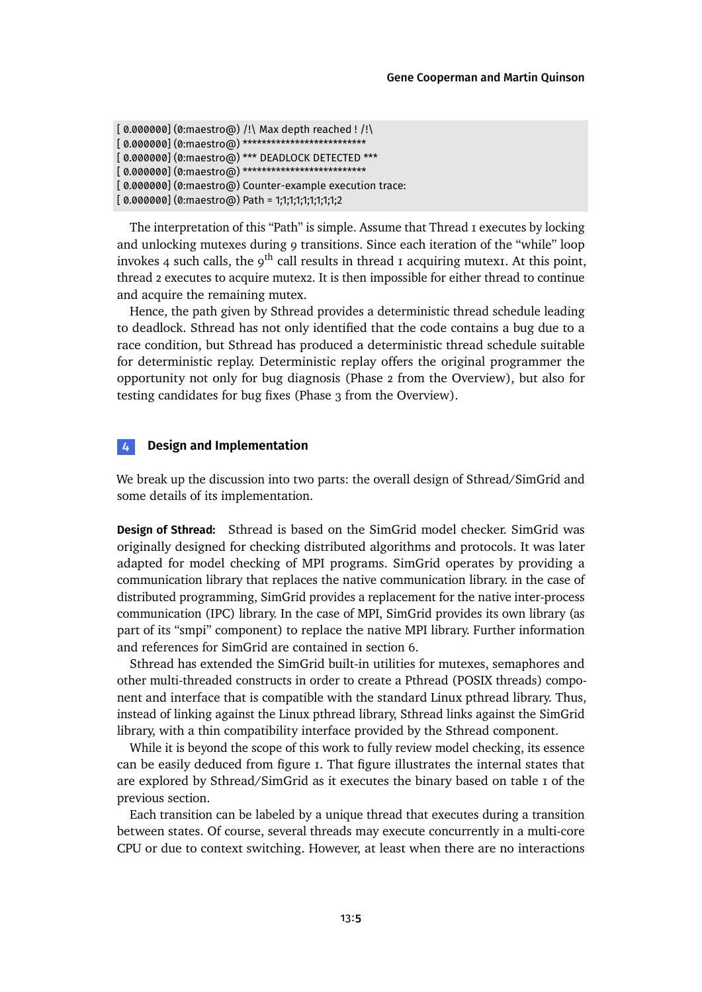```
[0.000000] (0:maestro@) /! Max depth reached ! /!
[ 0.000000] (0:maestro@) ****************************
[ 0.000000] (0:maestro@) *** DEADLOCK DETECTED ***
[ 0.000000] (0:maestro@) **************************
[ 0.000000] (0:maestro@) Counter-example execution trace:
[ 0.000000] (0:maestro@) Path = 1;1;1;1;1;1;1;1;1;2
```
The interpretation of this "Path" is simple. Assume that Thread 1 executes by locking and unlocking mutexes during 9 transitions. Since each iteration of the "while" loop invokes 4 such calls, the  $9<sup>th</sup>$  call results in thread 1 acquiring mutex1. At this point, thread 2 executes to acquire mutex2. It is then impossible for either thread to continue and acquire the remaining mutex.

Hence, the path given by Sthread provides a deterministic thread schedule leading to deadlock. Sthread has not only identified that the code contains a bug due to a race condition, but Sthread has produced a deterministic thread schedule suitable for deterministic replay. Deterministic replay offers the original programmer the opportunity not only for bug diagnosis (Phase 2 from the Overview), but also for testing candidates for bug fixes (Phase 3 from the Overview).

## <span id="page-4-0"></span>**4 Design and Implementation**

We break up the discussion into two parts: the overall design of Sthread/SimGrid and some details of its implementation.

**Design of Sthread:** Sthread is based on the SimGrid model checker. SimGrid was originally designed for checking distributed algorithms and protocols. It was later adapted for model checking of MPI programs. SimGrid operates by providing a communication library that replaces the native communication library. in the case of distributed programming, SimGrid provides a replacement for the native inter-process communication (IPC) library. In the case of MPI, SimGrid provides its own library (as part of its "smpi" component) to replace the native MPI library. Further information and references for SimGrid are containedin [section 6.](#page-18-0)

Sthread has extended the SimGrid built-in utilities for mutexes, semaphores and other multi-threaded constructs in order to create a Pthread (POSIX threads) component and interface that is compatible with the standard Linux pthread library. Thus, instead of linking against the Linux pthread library, Sthread links against the SimGrid library, with a thin compatibility interface provided by the Sthread component.

While it is beyond the scope of this work to fully review model checking, its essence can be easily deduced from [figure 1.](#page-5-0) That figure illustrates the internal states that are explored by Sthread/SimGrid as it executes the binary based on [table 1](#page-3-1) of the previous section.

Each transition can be labeled by a unique thread that executes during a transition between states. Of course, several threads may execute concurrently in a multi-core CPU or due to context switching. However, at least when there are no interactions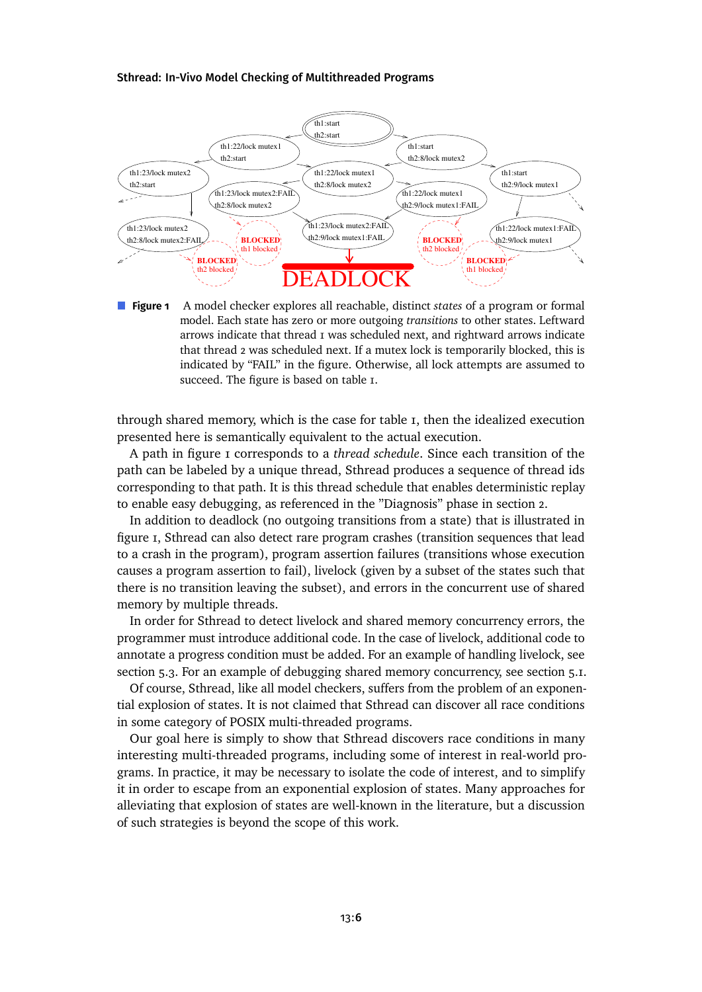<span id="page-5-0"></span>

**Figure 1** A model checker explores all reachable, distinct *states* of a program or formal model. Each state has zero or more outgoing *transitions* to other states. Leftward arrows indicate that thread 1 was scheduled next, and rightward arrows indicate that thread 2 was scheduled next. If a mutex lock is temporarily blocked, this is indicated by "FAIL" in the figure. Otherwise, all lock attempts are assumed to succeed. The figure is based on [table 1.](#page-3-1)

through shared memory, which is the case for [table 1,](#page-3-1) then the idealized execution presented here is semantically equivalent to the actual execution.

A path in [figure 1](#page-5-0) corresponds to a *thread schedule*. Since each transition of the path can be labeled by a unique thread, Sthread produces a sequence of thread ids corresponding to that path. It is this thread schedule that enables deterministic replay to enable easy debugging, as referenced in the "Diagnosis" phase in [section 2.](#page-2-0)

In addition to deadlock (no outgoing transitions from a state) that is illustrated in [figure 1,](#page-5-0) Sthread can also detect rare program crashes (transition sequences that lead to a crash in the program), program assertion failures (transitions whose execution causes a program assertion to fail), livelock (given by a subset of the states such that there is no transition leaving the subset), and errors in the concurrent use of shared memory by multiple threads.

In order for Sthread to detect livelock and shared memory concurrency errors, the programmer must introduce additional code. In the case of livelock, additional code to annotate a progress condition must be added. For an example of handling livelock, see [section 5.3.](#page-10-0) For an example of debugging shared memory concurrency, see [section 5.1.](#page-8-1)

Of course, Sthread, like all model checkers, suffers from the problem of an exponential explosion of states. It is not claimed that Sthread can discover all race conditions in some category of POSIX multi-threaded programs.

Our goal here is simply to show that Sthread discovers race conditions in many interesting multi-threaded programs, including some of interest in real-world programs. In practice, it may be necessary to isolate the code of interest, and to simplify it in order to escape from an exponential explosion of states. Many approaches for alleviating that explosion of states are well-known in the literature, but a discussion of such strategies is beyond the scope of this work.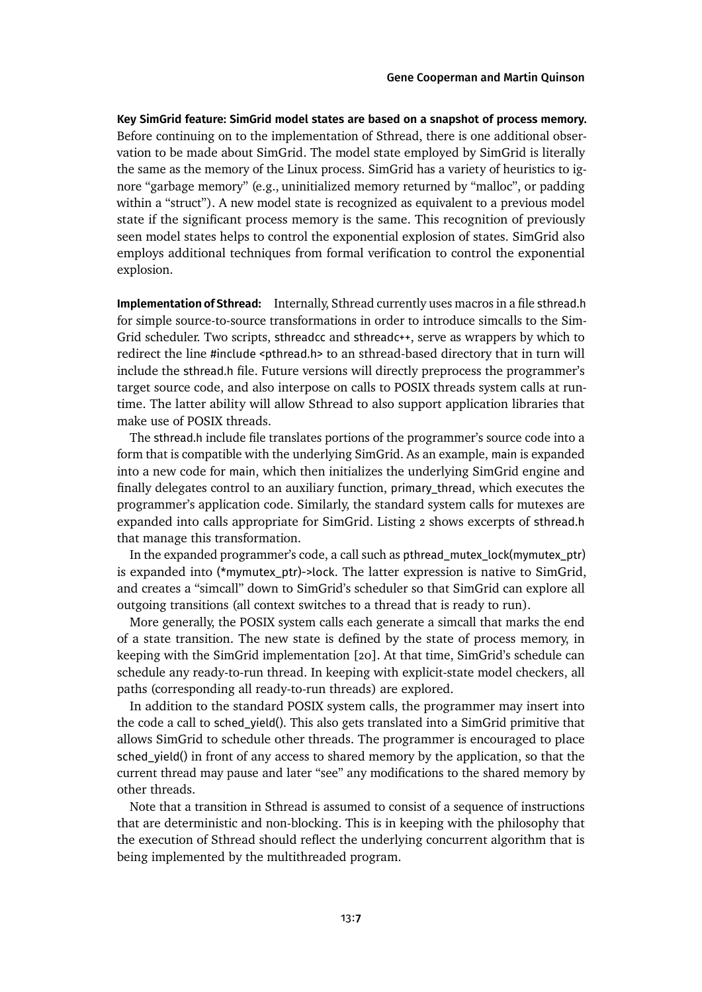**Key SimGrid feature: SimGrid model states are based on a snapshot of process memory.** Before continuing on to the implementation of Sthread, there is one additional observation to be made about SimGrid. The model state employed by SimGrid is literally the same as the memory of the Linux process. SimGrid has a variety of heuristics to ignore "garbage memory" (e.g., uninitialized memory returned by "malloc", or padding within a "struct"). A new model state is recognized as equivalent to a previous model state if the significant process memory is the same. This recognition of previously seen model states helps to control the exponential explosion of states. SimGrid also employs additional techniques from formal verification to control the exponential explosion.

**Implementation of Sthread:** Internally, Sthread currently uses macros in a file sthread.h for simple source-to-source transformations in order to introduce simcalls to the Sim-Grid scheduler. Two scripts, sthreadcc and sthreadc++, serve as wrappers by which to redirect the line #include <pthread.h> to an sthread-based directory that in turn will include the sthread.h file. Future versions will directly preprocess the programmer's target source code, and also interpose on calls to POSIX threads system calls at runtime. The latter ability will allow Sthread to also support application libraries that make use of POSIX threads.

The sthread.h include file translates portions of the programmer's source code into a form that is compatible with the underlying SimGrid. As an example, main is expanded into a new code for main, which then initializes the underlying SimGrid engine and finally delegates control to an auxiliary function, primary\_thread, which executes the programmer's application code. Similarly, the standard system calls for mutexes are expanded into calls appropriate for SimGrid. [Listing 2](#page-7-0) shows excerpts of sthread.h that manage this transformation.

In the expanded programmer's code, a call such as pthread\_mutex\_lock(mymutex\_ptr) is expanded into (\*mymutex\_ptr)->lock. The latter expression is native to SimGrid, and creates a "simcall" down to SimGrid's scheduler so that SimGrid can explore all outgoing transitions (all context switches to a thread that is ready to run).

More generally, the POSIX system calls each generate a simcall that marks the end of a state transition. The new state is defined by the state of process memory, in keeping with the SimGrid implementation [\[20\]](#page-23-2). At that time, SimGrid's schedule can schedule any ready-to-run thread. In keeping with explicit-state model checkers, all paths (corresponding all ready-to-run threads) are explored.

In addition to the standard POSIX system calls, the programmer may insert into the code a call to sched\_yield(). This also gets translated into a SimGrid primitive that allows SimGrid to schedule other threads. The programmer is encouraged to place sched yield() in front of any access to shared memory by the application, so that the current thread may pause and later "see" any modifications to the shared memory by other threads.

Note that a transition in Sthread is assumed to consist of a sequence of instructions that are deterministic and non-blocking. This is in keeping with the philosophy that the execution of Sthread should reflect the underlying concurrent algorithm that is being implemented by the multithreaded program.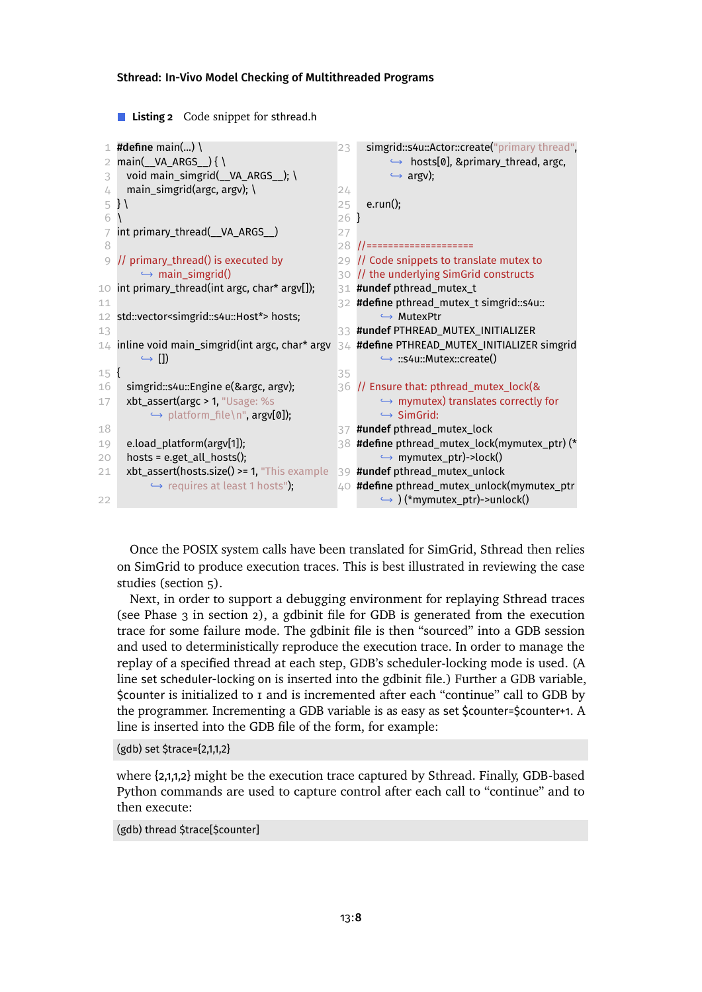<span id="page-7-0"></span>**Listing 2** Code snippet for sthread.h

```
1 #define main(...) \langle2 main(__VA_ARGS__) { \
 3 void main_simgrid(VA ARGS ); \
 4 main_simgrid(argc, argv); \setminus5 } \
 6 \sqrt{ }7 int primary_thread(__VA_ARGS__)
 8
 9 // primary_thread() is executed by
        \rightarrow main simgrid()
10 int primary_thread(int argc, char* argv[]);
11
12 std::vector<simgrid::s4u::Host*> hosts;
13
14 inline void main_simgrid(int argc, char* argv
        ,→ [])
15 {
16 simgrid::s4u::Engine e(&argc, argv);
17 xbt_assert(argc > 1, "Usage: %s
          \hookrightarrow platform_file\n", argv[0]);
18
19 e.load_platform(argv[1]);
20 hosts = e.get_all_hosts();
21 xbt assert(hosts.size() >= 1, "This example
          → requires at least 1 hosts");
2223 simgrid::s4u::Actor::create("primary thread",
                                                           ,→ hosts[0], &primary_thread, argc,
                                                           \hookrightarrow argv);
                                                24
                                                 25 e.run();
                                                 26 }
                                                27
                                                 28 //====================
                                                 29 // Code snippets to translate mutex to
                                                 30 // the underlying SimGrid constructs
                                                 31 #undef pthread_mutex_t
                                                 32 #define pthread_mutex_t simgrid::s4u::
                                                         → MutexPtr
                                                 33 #undef PTHREAD_MUTEX_INITIALIZER
                                                34 #define PTHREAD_MUTEX_INITIALIZER simgrid
                                                         ,→ ::s4u::Mutex::create()
                                                 35
                                                 36 II Ensure that: pthread mutex lock(&
                                                         → mymutex) translates correctly for
                                                         ,→ SimGrid:
                                                 37 #undef pthread_mutex_lock
                                                 38 #define pthread mutex lock(mymutex ptr) (*
                                                         → mymutex_ptr)->lock()
                                                39 #undef pthread mutex unlock
                                                40 #define pthread_mutex_unlock(mymutex_ptr
                                                         → ) (*mymutex_ptr)->unlock()
```
Once the POSIX system calls have been translated for SimGrid, Sthread then relies on SimGrid to produce execution traces. This is best illustrated in reviewing the case studies [\(section 5\)](#page-8-0).

Next, in order to support a debugging environment for replaying Sthread traces (see Phase 3 in [section 2\)](#page-2-0), a gdbinit file for GDB is generated from the execution trace for some failure mode. The gdbinit file is then "sourced" into a GDB session and used to deterministically reproduce the execution trace. In order to manage the replay of a specified thread at each step, GDB's scheduler-locking mode is used. (A line set scheduler-locking on is inserted into the gdbinit file.) Further a GDB variable, \$counter is initialized to 1 and is incremented after each "continue" call to GDB by the programmer. Incrementing a GDB variable is as easy as set \$counter=\$counter+1. A line is inserted into the GDB file of the form, for example:

```
(gdb) set $trace={2,1,1,2}
```
where {2,1,1,2} might be the execution trace captured by Sthread. Finally, GDB-based Python commands are used to capture control after each call to "continue" and to then execute:

(gdb) thread \$trace[\$counter]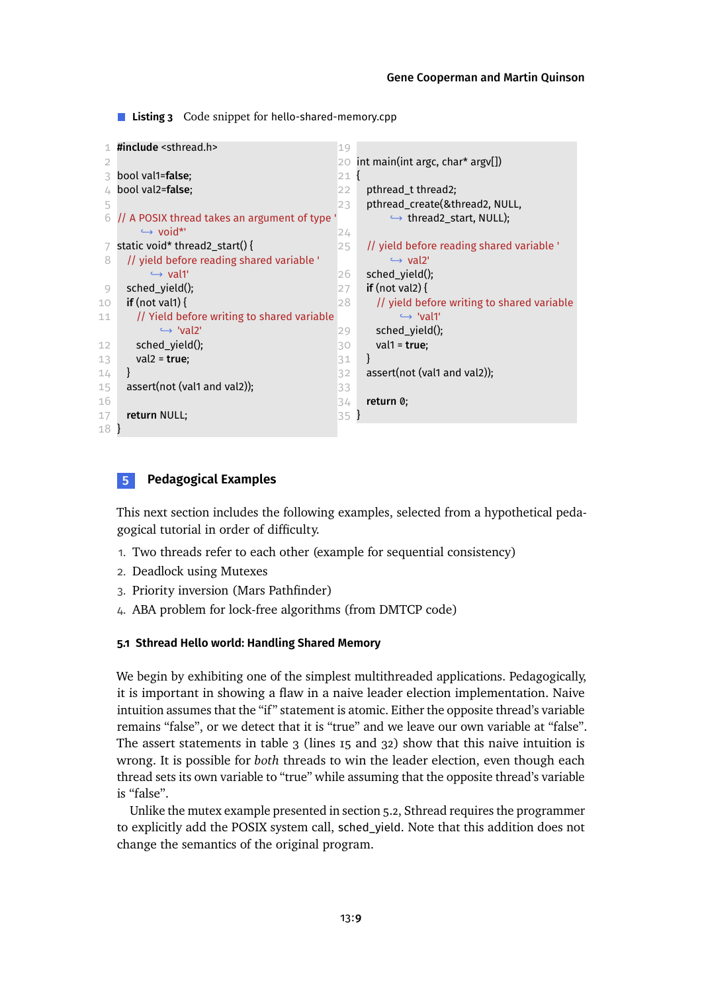<span id="page-8-2"></span>**Listing 3** Code snippet for hello-shared-memory.cpp

```
1 #include <sthread.h>
 \overline{2}3 bool val1=false;
 4 bool val2=false;
 5
 6 // A POSIX thread takes an argument of type
        → void*'
 7 static void* thread2_start() {
 8 // yield before reading shared variable '
          \rightarrow val1'
 9 sched_yield();
10 if (not val1) {
11 // Yield before writing to shared variable
            ,→ 'val2'
12 sched_yield();
13 val2 = true;
14 }
15 assert(not (val1 and val2));
16
17 return NULL;
18 }
                                                19
                                                20 int main(int argc, char* argv[])
                                                21 {
                                                22 pthread_t thread2;
                                                23 pthread create(&thread2, NULL,
                                                           → thread2 start, NULL);
                                                2425 // yield before reading shared variable '
                                                           \hookrightarrow val2'
                                                26 sched vield();
                                                27 if (not val2) {
                                                28 // yield before writing to shared variable
                                                             ,→ 'val1'
                                                29 sched_yield();
                                                30 val1 = true;
                                                31 }
                                                32 assert(not (val1 and val2)):
                                                33
                                                34 return 0;
                                                35 }
```
## <span id="page-8-0"></span>**5 Pedagogical Examples**

This next section includes the following examples, selected from a hypothetical pedagogical tutorial in order of difficulty.

- 1. Two threads refer to each other (example for sequential consistency)
- 2. Deadlock using Mutexes
- 3. Priority inversion (Mars Pathfinder)
- 4. ABA problem for lock-free algorithms (from DMTCP code)

### <span id="page-8-1"></span>**5.1 Sthread Hello world: Handling Shared Memory**

We begin by exhibiting one of the simplest multithreaded applications. Pedagogically, it is important in showing a flaw in a naive leader election implementation. Naive intuition assumes that the "if" statement is atomic. Either the opposite thread's variable remains "false", or we detect that it is "true" and we leave our own variable at "false". The assert statements in table  $3$  (lines 15 and  $32$ ) show that this naive intuition is wrong. It is possible for *both* threads to win the leader election, even though each thread sets its own variable to "true" while assuming that the opposite thread's variable is "false".

Unlike the mutex example presentedin [section 5.2,](#page-9-0) Sthread requires the programmer to explicitly add the POSIX system call, sched\_yield. Note that this addition does not change the semantics of the original program.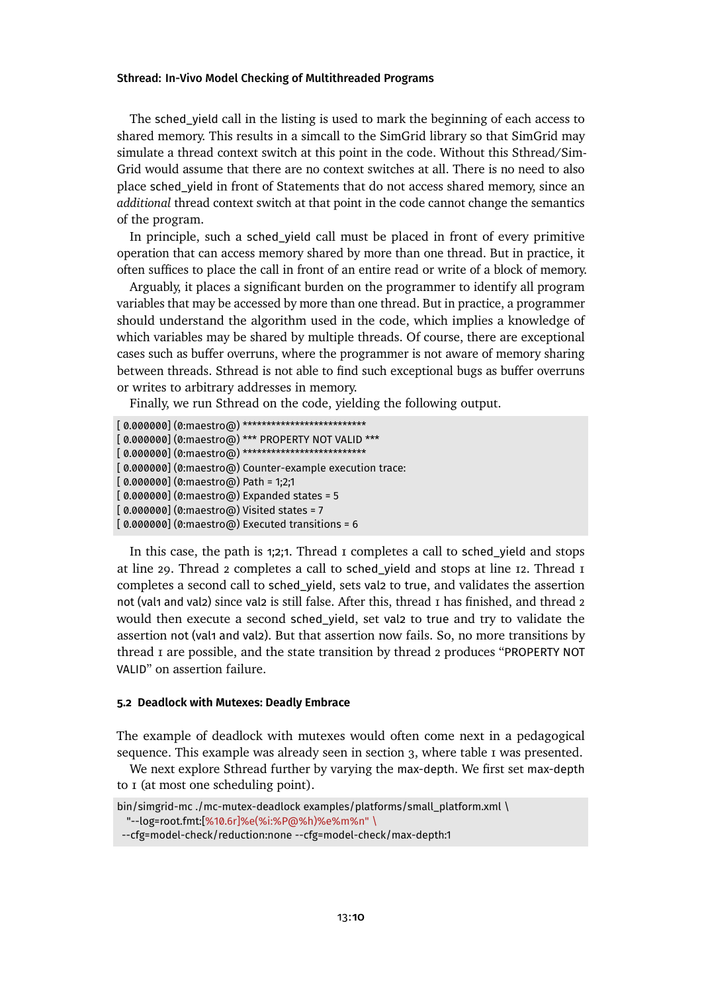The sched\_yield call in the listing is used to mark the beginning of each access to shared memory. This results in a simcall to the SimGrid library so that SimGrid may simulate a thread context switch at this point in the code. Without this Sthread/Sim-Grid would assume that there are no context switches at all. There is no need to also place sched\_yield in front of Statements that do not access shared memory, since an *additional* thread context switch at that point in the code cannot change the semantics of the program.

In principle, such a sched\_yield call must be placed in front of every primitive operation that can access memory shared by more than one thread. But in practice, it often suffices to place the call in front of an entire read or write of a block of memory.

Arguably, it places a significant burden on the programmer to identify all program variables that may be accessed by more than one thread. But in practice, a programmer should understand the algorithm used in the code, which implies a knowledge of which variables may be shared by multiple threads. Of course, there are exceptional cases such as buffer overruns, where the programmer is not aware of memory sharing between threads. Sthread is not able to find such exceptional bugs as buffer overruns or writes to arbitrary addresses in memory.

Finally, we run Sthread on the code, yielding the following output.

```
[ 0.000000] (0:maestro@) **************************
[ 0.000000] (0:maestro@) *** PROPERTY NOT VALID ***
[ 0.000000] (0:maestro@) ***************************
[ 0.000000] (0:maestro@) Counter-example execution trace:
[0.000000] (0:maestro@) Path = 1;2;1
[ 0.000000] (0:maestro@) Expanded states = 5
[ 0.000000] (0:maestro@) Visited states = 7
[ 0.000000] (0:maestro@) Executed transitions = 6
```
In this case, the path is 1;2;1. Thread 1 completes a call to sched yield and stops at line 29. Thread 2 completes a call to sched\_yield and stops at line 12. Thread 1 completes a second call to sched\_yield, sets val2 to true, and validates the assertion not (val1 and val2) since val2 is still false. After this, thread 1 has finished, and thread 2 would then execute a second sched\_yield, set val2 to true and try to validate the assertion not (val1 and val2). But that assertion now fails. So, no more transitions by thread 1 are possible, and the state transition by thread 2 produces "PROPERTY NOT VALID" on assertion failure.

#### <span id="page-9-0"></span>**5.2 Deadlock with Mutexes: Deadly Embrace**

The example of deadlock with mutexes would often come next in a pedagogical sequence. This example was already seen in [section 3,](#page-3-0) where [table 1](#page-3-1) was presented.

We next explore Sthread further by varying the max-depth. We first set max-depth to 1 (at most one scheduling point).

bin/simgrid-mc ./mc-mutex-deadlock examples/platforms/small\_platform.xml \ "--log=root.fmt:[%10.6r]%e(%i:%P@%h)%e%m%n" \

<sup>--</sup>cfg=model-check/reduction:none --cfg=model-check/max-depth:1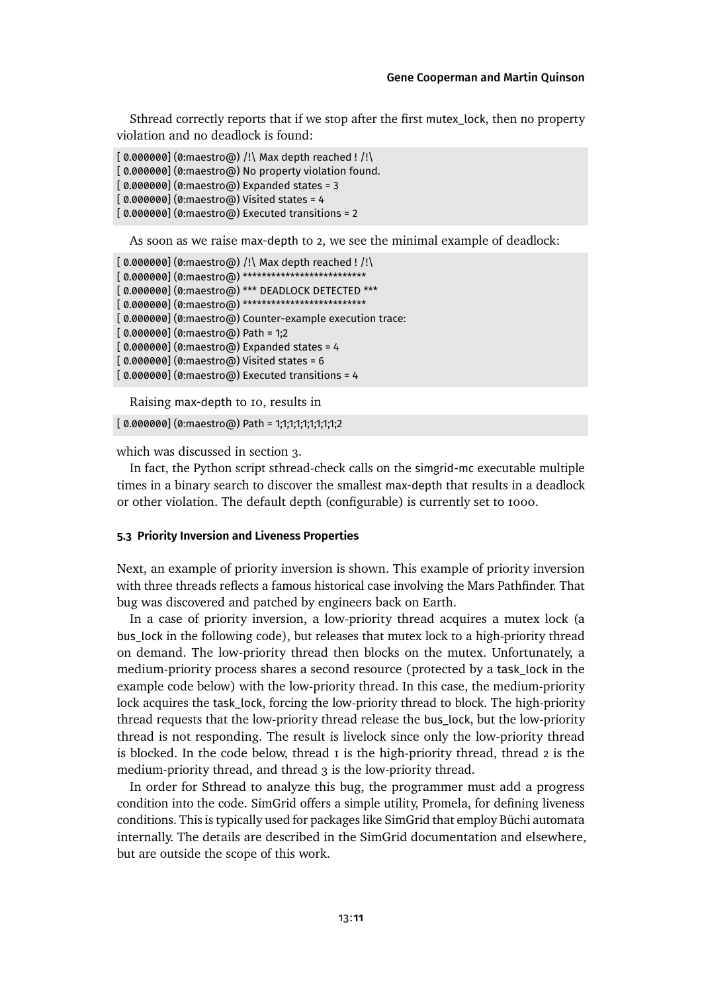Sthread correctly reports that if we stop after the first mutex\_lock, then no property violation and no deadlock is found:

 $[0.000000]$   $(0:\text{maestro@})$  /! Max depth reached ! /! [ 0.000000] (0:maestro@) No property violation found.  $[0.000000]$  (0:maestro $\omega$ ) Expanded states = 3  $[0.000000]$   $(0:$ maestro $\omega$ ) Visited states = 4 [ 0.000000] (0:maestro@) Executed transitions = 2

As soon as we raise max-depth to 2, we see the minimal example of deadlock:

```
[ 0.000000] (0:maestro@) /!\ Max depth reached ! /!\
[ 0.000000] (0:maestro@) **************************
[ 0.000000] (0:maestro@) *** DEADLOCK DETECTED ***
[0.000000] (0:maestro@) **************************
[ 0.000000] (0:maestro@) Counter-example execution trace:
[0.000000] (0:maestro@) Path = 1;2
[0.000000] (0:maestro\omega) Expanded states = 4
[0.000000] (0:maestro@) Visited states = 6
[0.000000] (0:maestro@) Executed transitions = 4
```
Raising max-depth to 10, results in

[ 0.000000] (0:maestro@) Path = 1;1;1;1;1;1;1;1;1;2

which was discussedin [section 3.](#page-3-0)

In fact, the Python script sthread-check calls on the simgrid-mc executable multiple times in a binary search to discover the smallest max-depth that results in a deadlock or other violation. The default depth (configurable) is currently set to 1000.

#### <span id="page-10-0"></span>**5.3 Priority Inversion and Liveness Properties**

Next, an example of priority inversion is shown. This example of priority inversion with three threads reflects a famous historical case involving the Mars Pathfinder. That bug was discovered and patched by engineers back on Earth.

In a case of priority inversion, a low-priority thread acquires a mutex lock (a bus\_lock in the following code), but releases that mutex lock to a high-priority thread on demand. The low-priority thread then blocks on the mutex. Unfortunately, a medium-priority process shares a second resource (protected by a task\_lock in the example code below) with the low-priority thread. In this case, the medium-priority lock acquires the task\_lock, forcing the low-priority thread to block. The high-priority thread requests that the low-priority thread release the bus\_lock, but the low-priority thread is not responding. The result is livelock since only the low-priority thread is blocked. In the code below, thread  $\bar{I}$  is the high-priority thread, thread  $\bar{I}$  is the medium-priority thread, and thread 3 is the low-priority thread.

In order for Sthread to analyze this bug, the programmer must add a progress condition into the code. SimGrid offers a simple utility, Promela, for defining liveness conditions. This is typically used for packages like SimGrid that employ Büchi automata internally. The details are described in the SimGrid documentation and elsewhere, but are outside the scope of this work.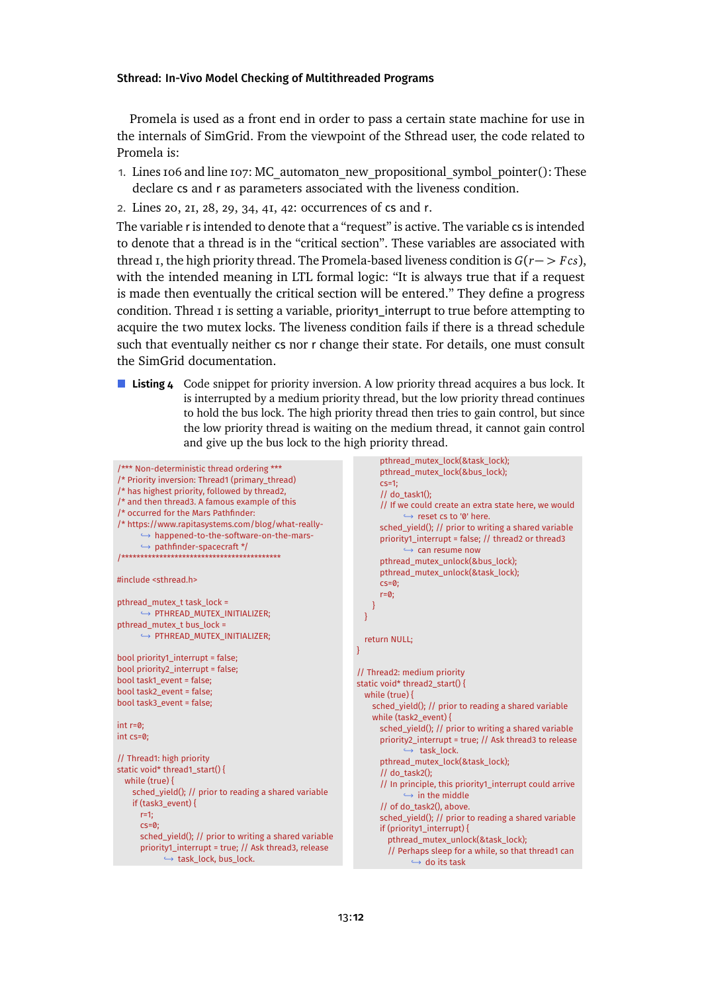Promela is used as a front end in order to pass a certain state machine for use in the internals of SimGrid. From the viewpoint of the Sthread user, the code related to Promela is:

- 1. Lines 106 and line 107: MC\_automaton\_new\_propositional\_symbol\_pointer(): These declare cs and r as parameters associated with the liveness condition.
- 2. Lines 20, 21, 28, 29, 34, 41, 42: occurrences of cs and r.

The variable r is intended to denote that a "request" is active. The variable cs is intended to denote that a thread is in the "critical section". These variables are associated with thread  $\bar{I}$ , the high priority thread. The Promela-based liveness condition is  $G(r \rightarrow F \, cs)$ , with the intended meaning in LTL formal logic: "It is always true that if a request is made then eventually the critical section will be entered." They define a progress condition. Thread *I* is setting a variable, priority<sub>1</sub>\_interrupt to true before attempting to acquire the two mutex locks. The liveness condition fails if there is a thread schedule such that eventually neither cs nor r change their state. For details, one must consult the SimGrid documentation.

**Listing 4** Code snippet for priority inversion. A low priority thread acquires a bus lock. It is interrupted by a medium priority thread, but the low priority thread continues to hold the bus lock. The high priority thread then tries to gain control, but since the low priority thread is waiting on the medium thread, it cannot gain control and give up the bus lock to the high priority thread.

```
/*** Non-deterministic thread ordering ***
/* Priority inversion: Thread1 (primary_thread)
/* has highest priority, followed by thread2,
/* and then thread3. A famous example of this
/* occurred for the Mars Pathfinder:
/* https://www.rapitasystems.com/blog/what-really-
      → happened-to-the-software-on-the-mars-
      ,→ pathfinder-spacecraft */
/******************************************
#include <sthread.h>
pthread_mutex_t task_lock =
     ,→ PTHREAD_MUTEX_INITIALIZER;
pthread_mutex_t bus_lock =
     → PTHREAD_MUTEX_INITIALIZER:
bool priority1_interrupt = false;
bool priority2_interrupt = false;
bool task1_event = false;
bool task2_event = false;
bool task3_event = false;
int r=0;
int cs=0;
// Thread1: high priority
static void* thread1_start() {
 while (true) {
   sched_yield(); // prior to reading a shared variable
   if (task3_event) {
     r=1;
     cs=0sched_yield(); // prior to writing a shared variable
     priority1_interrupt = true; // Ask thread3, release
            → task_lock, bus_lock.
                                                                    pthread_mutex_lock(&task_lock);
                                                                    pthread_mutex_lock(&bus_lock);
                                                                    \csc^{-1}// do_task1();
                                                                   // If we could create an extra state here, we would
                                                                          → reset cs to '0' here.
                                                                    sched_yield(); // prior to writing a shared variable
                                                                   priority1_interrupt = false; // thread2 or thread3
                                                                          → can resume now
                                                                    pthread_mutex_unlock(&bus_lock);
                                                                    pthread_mutex_unlock(&task_lock);
                                                                    cs=0;
                                                                    r=0;
                                                                 }
                                                                }
                                                                return NULL;
                                                             }
                                                             // Thread2: medium priority
                                                             static void* thread2_start() {
                                                                while (true) {
                                                                  sched_yield(); // prior to reading a shared variable
                                                                  while (task2_event) {
                                                                   sched_yield(); // prior to writing a shared variable
                                                                    priority2_interrupt = true; // Ask thread3 to release
                                                                            → task_lock.
                                                                    pthread_mutex_lock(&task_lock);
                                                                    1/ do task2():
                                                                    // In principle, this priority1_interrupt could arrive
                                                                          \rightarrow in the middle
                                                                    // of do_task2(), above.
                                                                    sched_yield(); // prior to reading a shared variable
                                                                    if (priority1_interrupt) {
                                                                      pthread_mutex_unlock(&task_lock);
                                                                      // Perhaps sleep for a while, so that thread1 can
                                                                            → do its task
```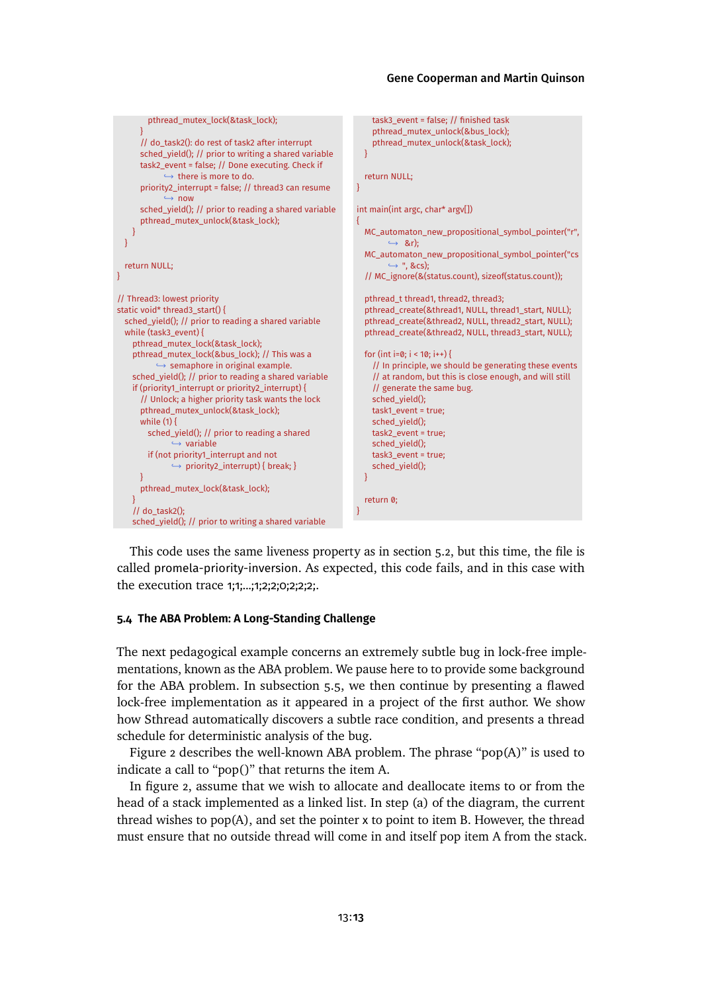```
pthread_mutex_lock(&task_lock);
      }
     // do_task2(): do rest of task2 after interrupt
     sched_yield(); // prior to writing a shared variable
     task2_event = false; // Done executing. Check if
            \rightarrow there is more to do.
      priority2_interrupt = false; // thread3 can resume
              ,→ now
      sched_yield(); // prior to reading a shared variable
     pthread_mutex_unlock(&task_lock);
    }
 }
 return NULL;
}
// Thread3: lowest priority
static void* thread3_start() {
 sched_yield(); // prior to reading a shared variable
 while (task3_event) {
   pthread_mutex_lock(&task_lock);
   pthread_mutex_lock(&bus_lock); // This was a
          → semaphore in original example.
   sched_yield(); // prior to reading a shared variable
   if (priority1_interrupt or priority2_interrupt) {
     // Unlock; a higher priority task wants the lock
     pthread_mutex_unlock(&task_lock);
     while (1) {
       sched_yield(); // prior to reading a shared
              → variable
       if (not priority1_interrupt and not
              ,→ priority2_interrupt) { break; }
     \left| \right|pthread_mutex_lock(&task_lock);
    }
   1/ do task2();
   sched_yield(); // prior to writing a shared variable
                                                                   task3_event = false; // finished task
                                                                   pthread_mutex_unlock(&bus_lock);
                                                                  pthread_mutex_unlock(&task_lock);
                                                                 }
                                                                 return NULL;
                                                              }
                                                               int main(int argc, char* argv[])
                                                               {
                                                                 MC automaton new propositional symbol pointer("r",
                                                                       ,→ &r);
                                                                 MC_automaton_new_propositional_symbol_pointer("cs
                                                                       ,→ ", &cs);
                                                                 // MC_ignore(&(status.count), sizeof(status.count));
                                                                 pthread_t thread1, thread2, thread3;
                                                                 pthread_create(&thread1, NULL, thread1_start, NULL);
                                                                 pthread_create(&thread2, NULL, thread2_start, NULL);
                                                                 pthread_create(&thread2, NULL, thread3_start, NULL);
                                                                 for (int i=0; i < 10; i++) {
                                                                   // In principle, we should be generating these events
                                                                   // at random, but this is close enough, and will still
                                                                   // generate the same bug.
                                                                   sched_vield();
                                                                  task1_event = true;
                                                                   sched_yield();
                                                                  task2_event = true;
                                                                  sched_yield();
                                                                  task3_event = true;
                                                                  sched_yield();
                                                                }
                                                                 return 0;
                                                              }
```
This code uses the same liveness property as in [section 5.2,](#page-9-0) but this time, the file is called promela-priority-inversion. As expected, this code fails, and in this case with the execution trace 1;1;...;1;2;2;0;2;2;2;.

#### <span id="page-12-0"></span>**5.4 The ABA Problem: A Long-Standing Challenge**

The next pedagogical example concerns an extremely subtle bug in lock-free implementations, known as the ABA problem. We pause here to to provide some background for the ABA problem. In [subsection 5.5,](#page-14-0) we then continue by presenting a flawed lock-free implementation as it appeared in a project of the first author. We show how Sthread automatically discovers a subtle race condition, and presents a thread schedule for deterministic analysis of the bug.

[Figure 2](#page-13-0) describes the well-known ABA problem. The phrase "pop(A)" is used to indicate a call to "pop()" that returns the item A.

In [figure 2,](#page-13-0) assume that we wish to allocate and deallocate items to or from the head of a stack implemented as a linked list. In step (a) of the diagram, the current thread wishes to pop(A), and set the pointer x to point to item B. However, the thread must ensure that no outside thread will come in and itself pop item A from the stack.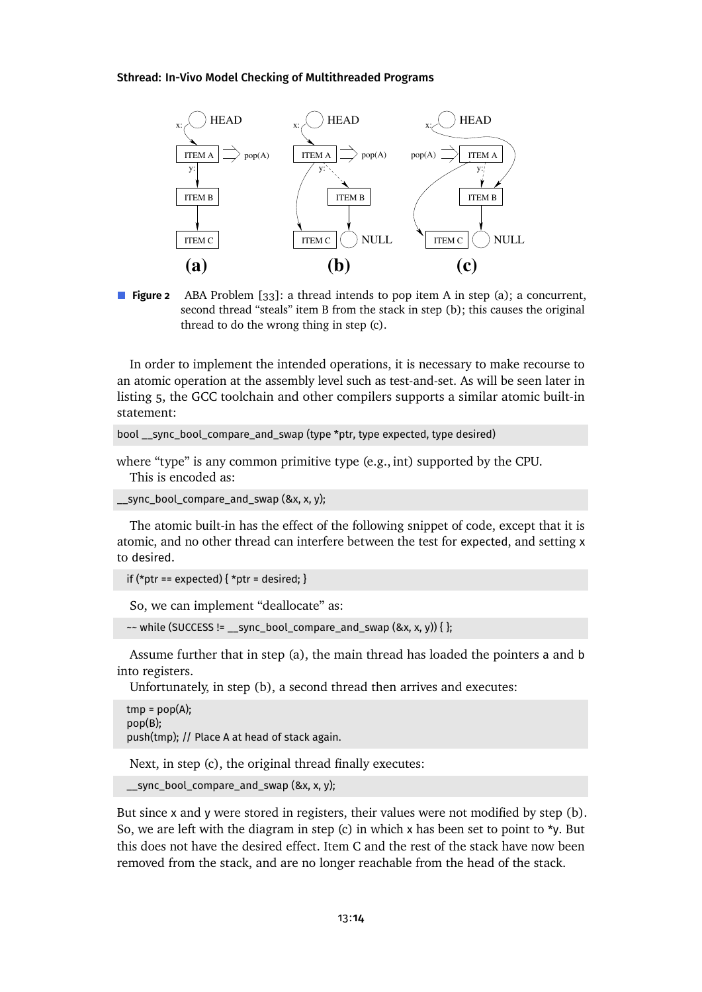<span id="page-13-0"></span>

**Figure 2** ABA Problem [\[33\]](#page-24-2): a thread intends to pop item A in step (a); a concurrent, second thread "steals" item B from the stack in step (b); this causes the original thread to do the wrong thing in step (c).

In order to implement the intended operations, it is necessary to make recourse to an atomic operation at the assembly level such as test-and-set. As will be seen later in [listing 5,](#page-14-1) the GCC toolchain and other compilers supports a similar atomic built-in statement:

```
bool __sync_bool_compare_and_swap (type *ptr, type expected, type desired)
```
where "type" is any common primitive type (e.g., int) supported by the CPU. This is encoded as:

sync bool compare and swap (&x, x, y);

The atomic built-in has the effect of the following snippet of code, except that it is atomic, and no other thread can interfere between the test for expected, and setting x to desired.

```
if (*ptr == expected) { *ptr = desired; }
```
So, we can implement "deallocate" as:

```
\sim while (SUCCESS != __sync_bool_compare_and_swap (&x, x, y)) { };
```
Assume further that in step (a), the main thread has loaded the pointers a and b into registers.

Unfortunately, in step (b), a second thread then arrives and executes:

```
tmp = pop(A);pop(B);
push(tmp); // Place A at head of stack again.
```
Next, in step (c), the original thread finally executes:

```
__sync_bool_compare_and_swap (&x, x, y);
```
But since x and y were stored in registers, their values were not modified by step (b). So, we are left with the diagram in step (c) in which x has been set to point to  $\star$ y. But this does not have the desired effect. Item C and the rest of the stack have now been removed from the stack, and are no longer reachable from the head of the stack.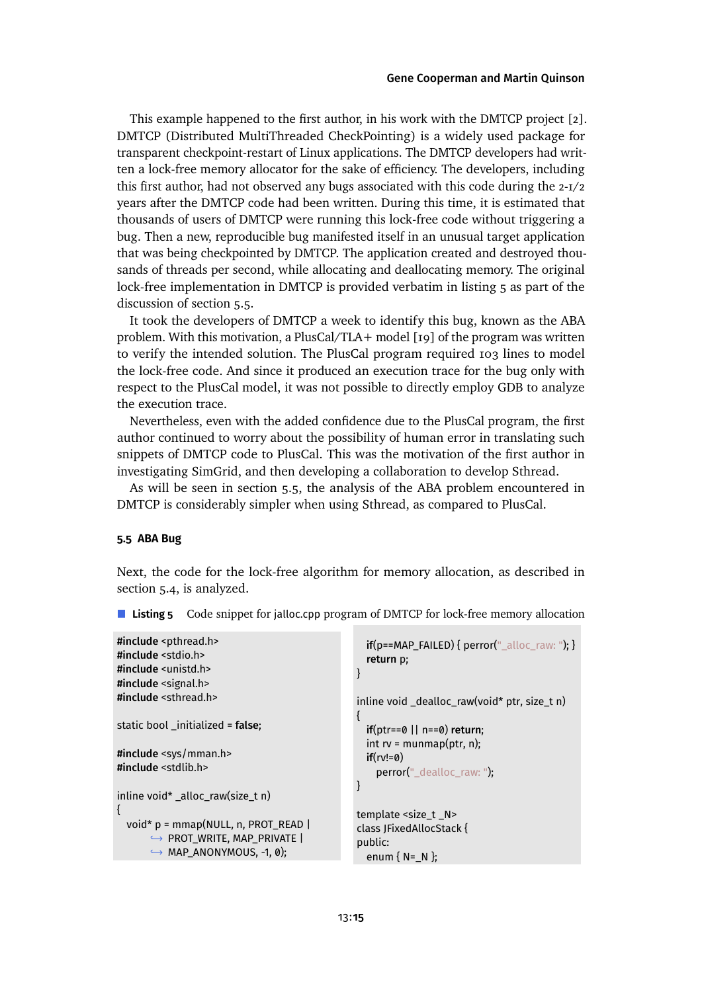This example happened to the first author, in his work with the DMTCP project [\[2\]](#page-21-1). DMTCP (Distributed MultiThreaded CheckPointing) is a widely used package for transparent checkpoint-restart of Linux applications. The DMTCP developers had written a lock-free memory allocator for the sake of efficiency. The developers, including this first author, had not observed any bugs associated with this code during the 2-1/2 years after the DMTCP code had been written. During this time, it is estimated that thousands of users of DMTCP were running this lock-free code without triggering a bug. Then a new, reproducible bug manifested itself in an unusual target application that was being checkpointed by DMTCP. The application created and destroyed thousands of threads per second, while allocating and deallocating memory. The original lock-free implementation in DMTCP is provided verbatim in [listing 5](#page-14-1) as part of the discussionof [section 5.5.](#page-14-0)

It took the developers of DMTCP a week to identify this bug, known as the ABA problem. With this motivation, a PlusCal/TLA+ model [\[19\]](#page-23-3) of the program was written to verify the intended solution. The PlusCal program required 103 lines to model the lock-free code. And since it produced an execution trace for the bug only with respect to the PlusCal model, it was not possible to directly employ GDB to analyze the execution trace.

Nevertheless, even with the added confidence due to the PlusCal program, the first author continued to worry about the possibility of human error in translating such snippets of DMTCP code to PlusCal. This was the motivation of the first author in investigating SimGrid, and then developing a collaboration to develop Sthread.

As will be seen in [section 5.5,](#page-14-0) the analysis of the ABA problem encountered in DMTCP is considerably simpler when using Sthread, as compared to PlusCal.

### <span id="page-14-0"></span>**5.5 ABA Bug**

Next, the code for the lock-free algorithm for memory allocation, as described in [section 5.4,](#page-12-0) is analyzed.

```
#include <pthread.h>
#include <stdio.h>
#include <unistd.h>
#include <signal.h>
#include <sthread.h>
static bool _initialized = false;
#include <sys/mman.h>
#include <stdlib.h>
inline void* _alloc_raw(size_t n)
{
 void* p = mmap(NULL, n, PROT_READ |
       ,→ PROT_WRITE, MAP_PRIVATE |
       ,→ MAP_ANONYMOUS, -1, 0);
                                                     if(p==MAP_FAILED) { perror("_alloc\_raw: ");}
                                                     return p;
                                                   }
                                                   inline void _dealloc_raw(void* ptr, size_t n)
                                                   {
                                                     if(ptr==0 || n==0) return;
                                                     int rv = \text{munmap}(\text{ptr}, n);
                                                     if(ry!=0)perror("_dealloc_raw: ");
                                                   }
                                                   template <size_t _N>
                                                   class JFixedAllocStack {
                                                   public:
                                                     enum { N=_N };
```
<span id="page-14-1"></span>■ **Listing 5** Code snippet for jalloc.cpp program of DMTCP for lock-free memory allocation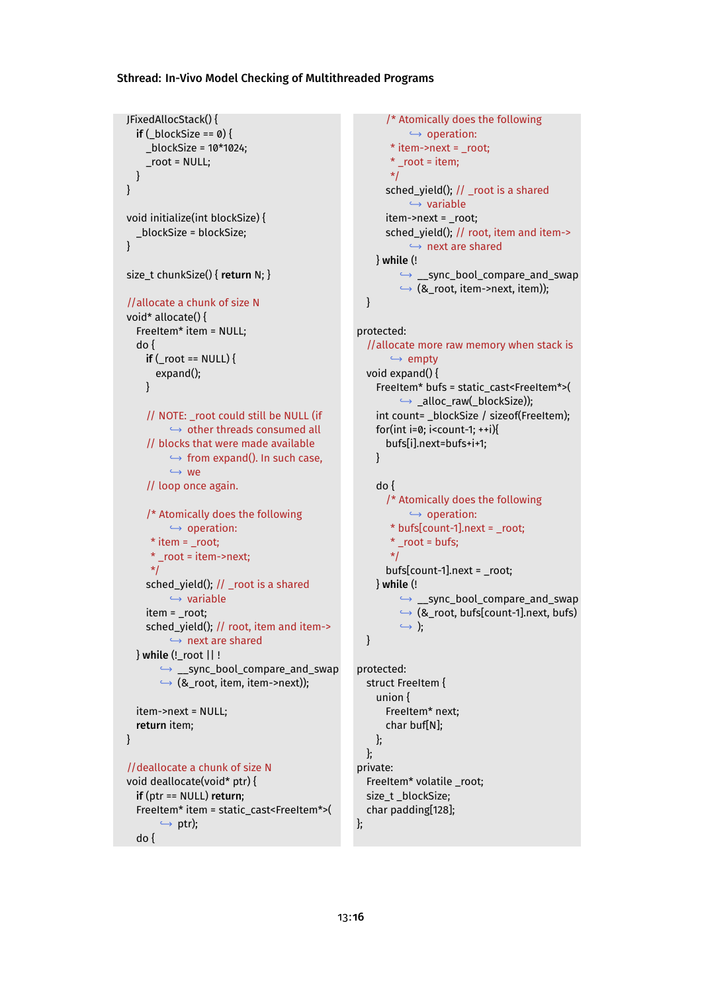JFixedAllocStack() {

```
if (\_blockSize == 0)_blockSize = 10*1024;
    _root = NULL;
  }
}
void initialize(int blockSize) {
  _blockSize = blockSize;
}
size_t chunkSize() { return N; }
//allocate a chunk of size N
void* allocate() {
  FreeItem* item = NULL;
  do {
    if (root == NULL) {
      expand();
    }
    // NOTE: _root could still be NULL (if
         → other threads consumed all
    // blocks that were made available
         ,→ from expand(). In such case,
         ,→ we
    // loop once again.
    /* Atomically does the following
         → operation:
     * item = root:* root = item->next:
     */
    sched_yield(); // _root is a shared
         → variable
    item = _root;
    sched_yield(); // root, item and item->
         → next are shared
  } while (!_root || !
       ,→ __sync_bool_compare_and_swap
       \hookrightarrow (&_root, item, item->next));
  item->next = NULL;
  return item;
}
//deallocate a chunk of size N
void deallocate(void* ptr) {
  if (ptr == NULL) return;
  FreeItem* item = static_cast<FreeItem*>(
       \hookrightarrow ptr);
  do {
```

```
/* Atomically does the following
           → operation:
       * item->next = _root;
       * _root = item;
       */
      sched_yield(); // _root is a shared
           → variable
      item->next = _root;
      sched_yield(); // root, item and item->
           → next are shared
    } while (!
         ,→ __sync_bool_compare_and_swap
        ,→ (&_root, item->next, item));
  }
protected:
  //allocate more raw memory when stack is
       → empty
  void expand() {
    FreeItem* bufs = static_cast<FreeItem*>(
         ,→ _alloc_raw(_blockSize));
    int count= _blockSize / sizeof(FreeItem);
    for(int i=0; i<count-1; ++i){
      bufs[i].next=bufs+i+1;
    }
    do {
      /* Atomically does the following
          → operation:
       * bufs[count-1].next = _root;
       * root = bufs:
       */
      bufs[count-1].next = _root;
    } while (!
         ,→ __sync_bool_compare_and_swap
        ,→ (&_root, bufs[count-1].next, bufs)
        ,→ );
  }
protected:
  struct FreeItem {
    union {
      FreeItem* next;
      char buf[N];
    };
  };
private:
  FreeItem* volatile _root;
  size_t _blockSize;
  char padding[128];
};
```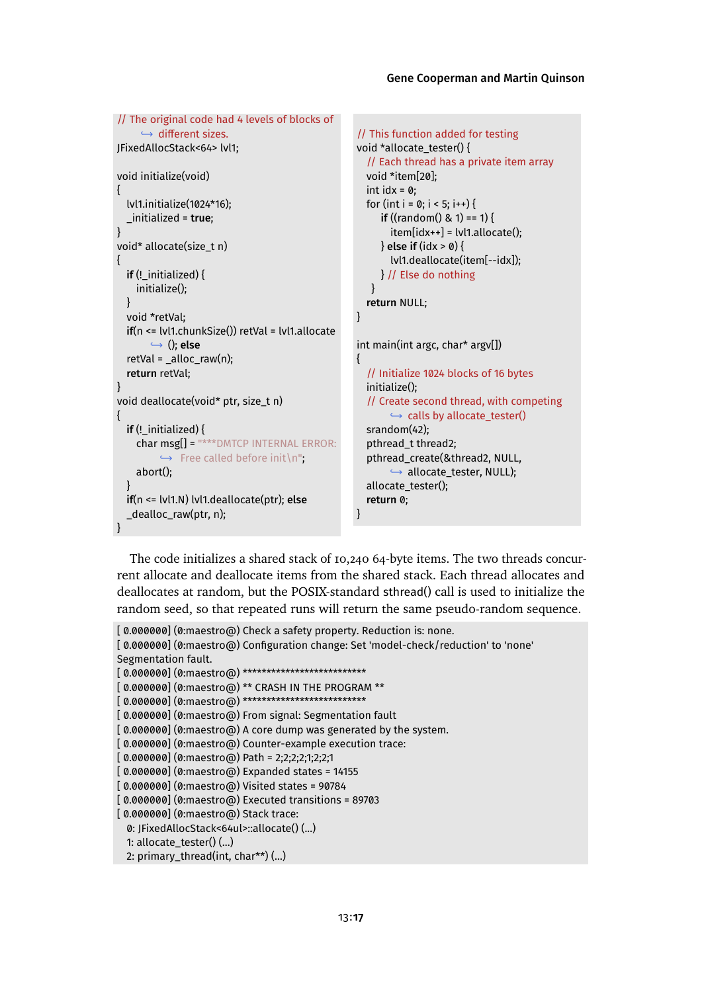```
// The original code had 4 levels of blocks of
     → different sizes.
JFixedAllocStack<64> lvl1;
void initialize(void)
{
  lvl1.initialize(1024*16);
  _initialized = true;
}
void* allocate(size_t n)
{
  if (! initialized) {
    initialize();
  }
  void *retVal;
  if(n <= lvl1.chunkSize()) retVal = lvl1.allocate
        ,→ (); else
  retVal = _{alloc\_raw(n)};
  return retVal;
}
void deallocate(void* ptr, size_t n)
{
  if (!_initialized) {
    char msg[] = "***DMTCP INTERNAL ERROR:
          \leftrightarrow Free called before init\n";
    abort();
  }
  if(n <= lvl1.N) lvl1.deallocate(ptr); else
  _dealloc_raw(ptr, n);
}
                                                      // This function added for testing
                                                      void *allocate_tester() {
                                                         // Each thread has a private item array
                                                        void *item[20];
                                                        int idx = 0;
                                                        for (int i = 0; i < 5; i++) {
                                                            if ((random() & 1) == 1) {
                                                              item[idx++] = [v11.]} else if (idx > 0) {
                                                              lvl1.deallocate(item[--idx]);
                                                           } // Else do nothing
                                                         }
                                                        return NULL;
                                                      }
                                                      int main(int argc, char* argv[])
                                                      {
                                                        // Initialize 1024 blocks of 16 bytes
                                                        initialize();
                                                        // Create second thread, with competing
                                                              \hookrightarrow calls by allocate_tester()
                                                        srandom(42);
                                                        pthread_t thread2;
                                                        pthread_create(&thread2, NULL,
                                                              ,→ allocate_tester, NULL);
                                                        allocate_tester();
                                                        return 0;
                                                      }
```
The code initializes a shared stack of 10,240 64-byte items. The two threads concurrent allocate and deallocate items from the shared stack. Each thread allocates and deallocates at random, but the POSIX-standard sthread() call is used to initialize the random seed, so that repeated runs will return the same pseudo-random sequence.

```
[0.000000] (0:maestro@) Check a safety property. Reduction is: none.
[ 0.000000] (0:maestro@) Configuration change: Set 'model-check/reduction' to 'none'
Segmentation fault.
[ 0.000000] (0:maestro@) **************************
[ 0.000000] (0:maestro@) ** CRASH IN THE PROGRAM **
[0.000000] (0:maestro@) ***************************
[ 0.000000] (0:maestro@) From signal: Segmentation fault
[0.000000] (0:maestro@) A core dump was generated by the system.
[ 0.000000] (0:maestro@) Counter-example execution trace:
[ 0.000000] (0:maestro@) Path = 2;2;2;2;1;2;2;1
[ 0.000000] (0:maestro@) Expanded states = 14155
[ 0.000000] (0:maestro@) Visited states = 90784
[ 0.000000] (0:maestro@) Executed transitions = 89703
[ 0.000000] (0:maestro@) Stack trace:
 0: JFixedAllocStack<64ul>::allocate() (...)
  1: allocate_tester() (...)
  2: primary_thread(int, char**) (...)
```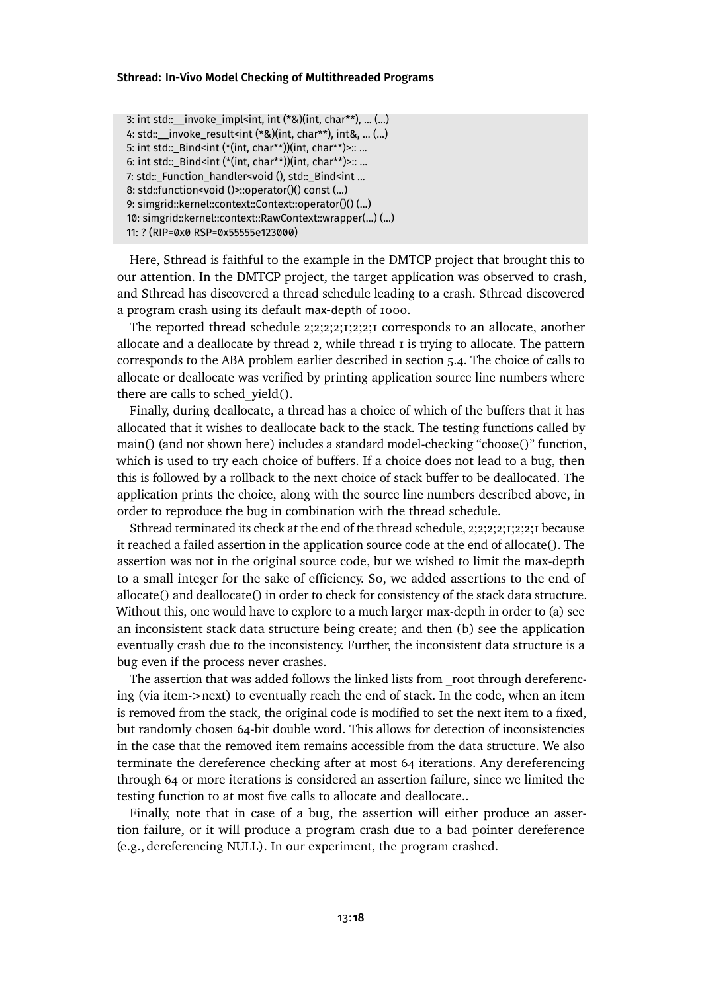3: int std::\_\_invoke\_impl<int, int (\*&)(int, char\*\*), ... (...) 4: std::\_\_invoke\_result<int (\*&)(int, char\*\*), int&, ... (...) 5: int std::\_Bind<int (\*(int, char\*\*))(int, char\*\*)>:: ... 6: int std::\_Bind<int (\*(int, char\*\*))(int, char\*\*)>:: ... 7: std::\_Function\_handler<void (), std::\_Bind<int ... 8: std::function<void ()>::operator()() const (...) 9: simgrid::kernel::context::Context::operator()() (...) 10: simgrid::kernel::context::RawContext::wrapper(...) (...) 11: ? (RIP=0x0 RSP=0x55555e123000)

Here, Sthread is faithful to the example in the DMTCP project that brought this to our attention. In the DMTCP project, the target application was observed to crash, and Sthread has discovered a thread schedule leading to a crash. Sthread discovered a program crash using its default max-depth of 1000.

The reported thread schedule 2;2;2;2;1;2;2;1 corresponds to an allocate, another allocate and a deallocate by thread 2, while thread 1 is trying to allocate. The pattern corresponds to the ABA problem earlier describedin [section 5.4.](#page-12-0) The choice of calls to allocate or deallocate was verified by printing application source line numbers where there are calls to sched yield().

Finally, during deallocate, a thread has a choice of which of the buffers that it has allocated that it wishes to deallocate back to the stack. The testing functions called by main() (and not shown here) includes a standard model-checking "choose()" function, which is used to try each choice of buffers. If a choice does not lead to a bug, then this is followed by a rollback to the next choice of stack buffer to be deallocated. The application prints the choice, along with the source line numbers described above, in order to reproduce the bug in combination with the thread schedule.

Sthread terminated its check at the end of the thread schedule, 2;2;2;2;1;2;2;1 because it reached a failed assertion in the application source code at the end of allocate(). The assertion was not in the original source code, but we wished to limit the max-depth to a small integer for the sake of efficiency. So, we added assertions to the end of allocate() and deallocate() in order to check for consistency of the stack data structure. Without this, one would have to explore to a much larger max-depth in order to (a) see an inconsistent stack data structure being create; and then (b) see the application eventually crash due to the inconsistency. Further, the inconsistent data structure is a bug even if the process never crashes.

The assertion that was added follows the linked lists from root through dereferencing (via item-*>*next) to eventually reach the end of stack. In the code, when an item is removed from the stack, the original code is modified to set the next item to a fixed, but randomly chosen 64-bit double word. This allows for detection of inconsistencies in the case that the removed item remains accessible from the data structure. We also terminate the dereference checking after at most 64 iterations. Any dereferencing through 64 or more iterations is considered an assertion failure, since we limited the testing function to at most five calls to allocate and deallocate..

Finally, note that in case of a bug, the assertion will either produce an assertion failure, or it will produce a program crash due to a bad pointer dereference (e.g., dereferencing NULL). In our experiment, the program crashed.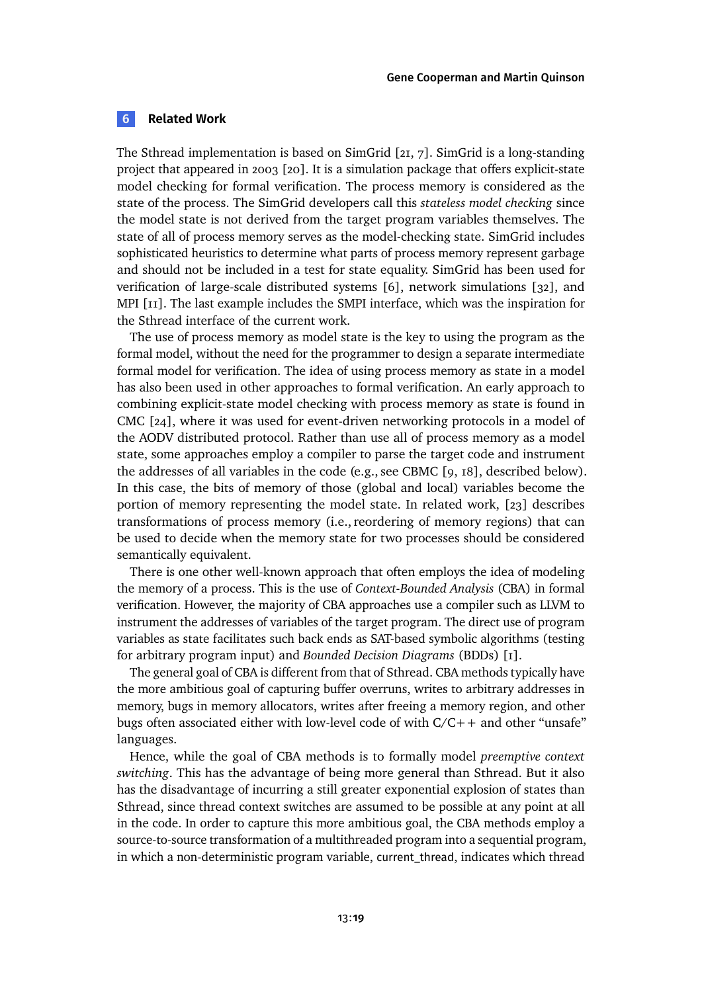#### <span id="page-18-0"></span>**6 Related Work**

The Sthread implementation is based on SimGrid [\[21,](#page-23-4) [7\]](#page-22-3). SimGrid is a long-standing project that appeared in 2003 [\[20\]](#page-23-2). It is a simulation package that offers explicit-state model checking for formal verification. The process memory is considered as the state of the process. The SimGrid developers call this *stateless model checking* since the model state is not derived from the target program variables themselves. The state of all of process memory serves as the model-checking state. SimGrid includes sophisticated heuristics to determine what parts of process memory represent garbage and should not be included in a test for state equality. SimGrid has been used for verification of large-scale distributed systems [\[6\]](#page-22-4), network simulations [\[32\]](#page-24-3), and MPI [\[11\]](#page-22-0). The last example includes the SMPI interface, which was the inspiration for the Sthread interface of the current work.

The use of process memory as model state is the key to using the program as the formal model, without the need for the programmer to design a separate intermediate formal model for verification. The idea of using process memory as state in a model has also been used in other approaches to formal verification. An early approach to combining explicit-state model checking with process memory as state is found in CMC [\[24\]](#page-23-5), where it was used for event-driven networking protocols in a model of the AODV distributed protocol. Rather than use all of process memory as a model state, some approaches employ a compiler to parse the target code and instrument the addresses of all variables in the code (e.g., see CBMC [\[9,](#page-22-5) [18\]](#page-23-6), described below). In this case, the bits of memory of those (global and local) variables become the portion of memory representing the model state. In related work, [\[23\]](#page-23-7) describes transformations of process memory (i.e., reordering of memory regions) that can be used to decide when the memory state for two processes should be considered semantically equivalent.

There is one other well-known approach that often employs the idea of modeling the memory of a process. This is the use of *Context-Bounded Analysis* (CBA) in formal verification. However, the majority of CBA approaches use a compiler such as LLVM to instrument the addresses of variables of the target program. The direct use of program variables as state facilitates such back ends as SAT-based symbolic algorithms (testing for arbitrary program input) and *Bounded Decision Diagrams* (BDDs) [\[1\]](#page-21-2).

The general goal of CBA is different from that of Sthread. CBA methods typically have the more ambitious goal of capturing buffer overruns, writes to arbitrary addresses in memory, bugs in memory allocators, writes after freeing a memory region, and other bugs often associated either with low-level code of with  $C/C++$  and other "unsafe" languages.

Hence, while the goal of CBA methods is to formally model *preemptive context switching*. This has the advantage of being more general than Sthread. But it also has the disadvantage of incurring a still greater exponential explosion of states than Sthread, since thread context switches are assumed to be possible at any point at all in the code. In order to capture this more ambitious goal, the CBA methods employ a source-to-source transformation of a multithreaded program into a sequential program, in which a non-deterministic program variable, current\_thread, indicates which thread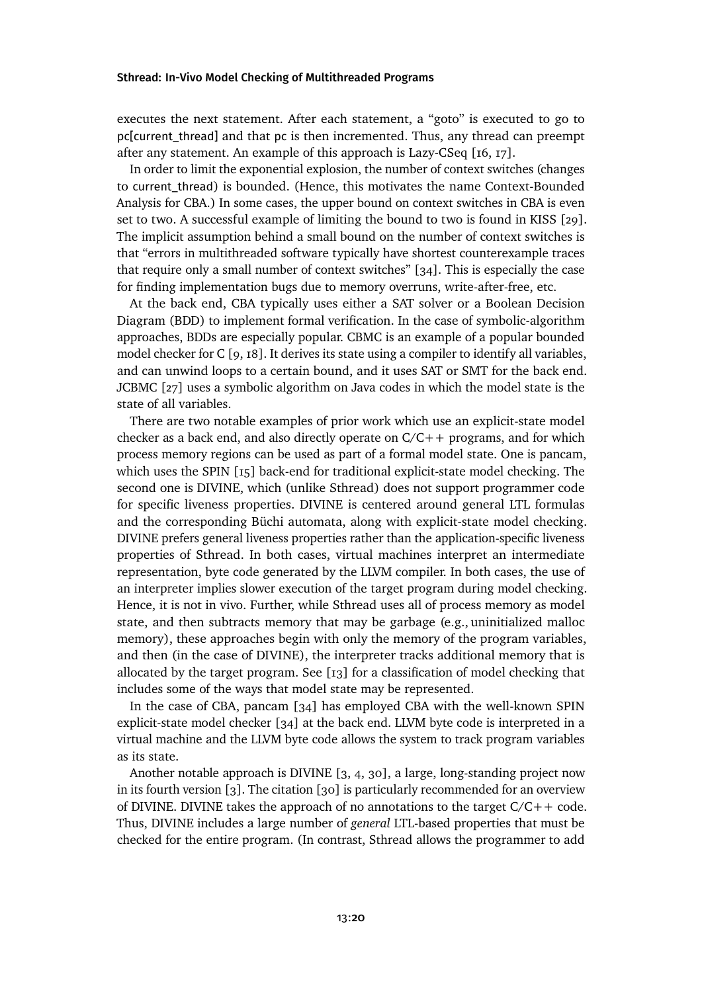executes the next statement. After each statement, a "goto" is executed to go to pc[current\_thread] and that pc is then incremented. Thus, any thread can preempt after any statement. An example of this approach is Lazy-CSeq [\[16,](#page-23-8) [17\]](#page-23-9).

In order to limit the exponential explosion, the number of context switches (changes to current\_thread) is bounded. (Hence, this motivates the name Context-Bounded Analysis for CBA.) In some cases, the upper bound on context switches in CBA is even set to two. A successful example of limiting the bound to two is found in KISS [\[29\]](#page-24-4). The implicit assumption behind a small bound on the number of context switches is that "errors in multithreaded software typically have shortest counterexample traces that require only a small number of context switches" [\[34\]](#page-24-5). This is especially the case for finding implementation bugs due to memory overruns, write-after-free, etc.

At the back end, CBA typically uses either a SAT solver or a Boolean Decision Diagram (BDD) to implement formal verification. In the case of symbolic-algorithm approaches, BDDs are especially popular. CBMC is an example of a popular bounded model checker for C [\[9,](#page-22-5) [18\]](#page-23-6). It derives its state using a compiler to identify all variables, and can unwind loops to a certain bound, and it uses SAT or SMT for the back end. JCBMC [\[27\]](#page-23-10) uses a symbolic algorithm on Java codes in which the model state is the state of all variables.

There are two notable examples of prior work which use an explicit-state model checker as a back end, and also directly operate on  $C/C++$  programs, and for which process memory regions can be used as part of a formal model state. One is pancam, which uses the SPIN [\[15\]](#page-22-6) back-end for traditional explicit-state model checking. The second one is DIVINE, which (unlike Sthread) does not support programmer code for specific liveness properties. DIVINE is centered around general LTL formulas and the corresponding Büchi automata, along with explicit-state model checking. DIVINE prefers general liveness properties rather than the application-specific liveness properties of Sthread. In both cases, virtual machines interpret an intermediate representation, byte code generated by the LLVM compiler. In both cases, the use of an interpreter implies slower execution of the target program during model checking. Hence, it is not in vivo. Further, while Sthread uses all of process memory as model state, and then subtracts memory that may be garbage (e.g., uninitialized malloc memory), these approaches begin with only the memory of the program variables, and then (in the case of DIVINE), the interpreter tracks additional memory that is allocated by the target program. See [\[13\]](#page-22-7) for a classification of model checking that includes some of the ways that model state may be represented.

In the case of CBA, pancam [\[34\]](#page-24-5) has employed CBA with the well-known SPIN explicit-state model checker [\[34\]](#page-24-5) at the back end. LLVM byte code is interpreted in a virtual machine and the LLVM byte code allows the system to track program variables as its state.

Another notable approach is DIVINE [\[3,](#page-22-8) [4,](#page-22-9) [30\]](#page-24-6), a large, long-standing project now in its fourth version [\[3\]](#page-22-8). The citation [\[30\]](#page-24-6) is particularly recommended for an overview of DIVINE. DIVINE takes the approach of no annotations to the target  $C/C++$  code. Thus, DIVINE includes a large number of *general* LTL-based properties that must be checked for the entire program. (In contrast, Sthread allows the programmer to add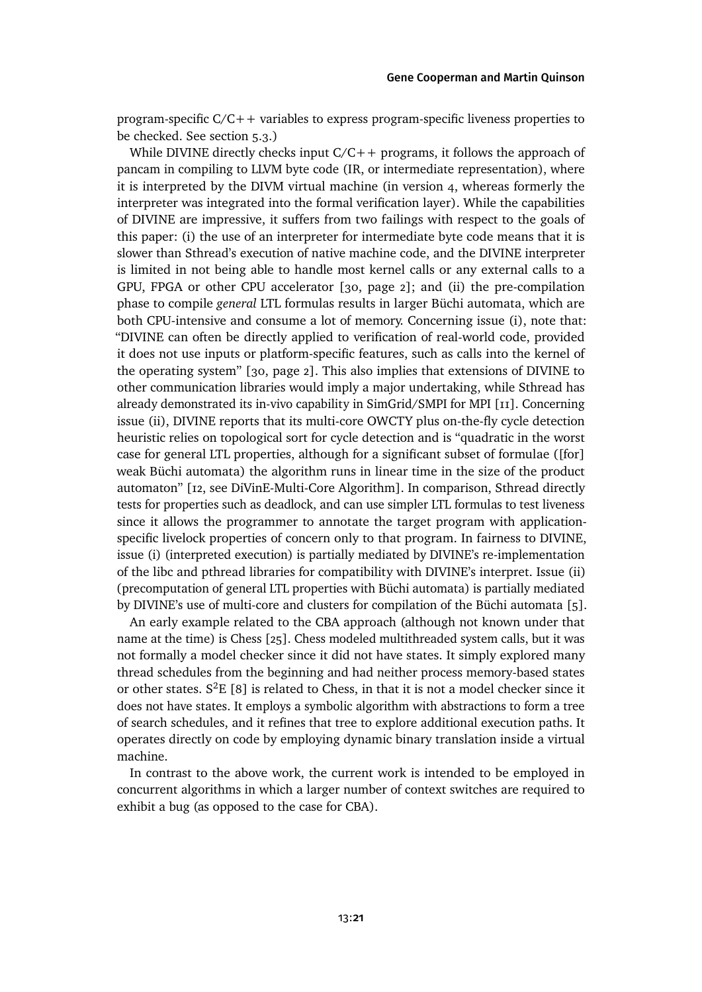program-specific C/C++ variables to express program-specific liveness properties to be checked. See [section 5.3.](#page-10-0))

While DIVINE directly checks input  $C/C++$  programs, it follows the approach of pancam in compiling to LLVM byte code (IR, or intermediate representation), where it is interpreted by the DIVM virtual machine (in version 4, whereas formerly the interpreter was integrated into the formal verification layer). While the capabilities of DIVINE are impressive, it suffers from two failings with respect to the goals of this paper: (i) the use of an interpreter for intermediate byte code means that it is slower than Sthread's execution of native machine code, and the DIVINE interpreter is limited in not being able to handle most kernel calls or any external calls to a GPU, FPGA or other CPU accelerator [\[30,](#page-24-6) page 2]; and (ii) the pre-compilation phase to compile *general* LTL formulas results in larger Büchi automata, which are both CPU-intensive and consume a lot of memory. Concerning issue (i), note that: "DIVINE can often be directly applied to verification of real-world code, provided it does not use inputs or platform-specific features, such as calls into the kernel of the operating system" [\[30,](#page-24-6) page 2]. This also implies that extensions of DIVINE to other communication libraries would imply a major undertaking, while Sthread has already demonstrated its in-vivo capability in SimGrid/SMPI for MPI [\[11\]](#page-22-0). Concerning issue (ii), DIVINE reports that its multi-core OWCTY plus on-the-fly cycle detection heuristic relies on topological sort for cycle detection and is "quadratic in the worst case for general LTL properties, although for a significant subset of formulae ([for] weak Büchi automata) the algorithm runs in linear time in the size of the product automaton" [\[12,](#page-22-10) see DiVinE-Multi-Core Algorithm]. In comparison, Sthread directly tests for properties such as deadlock, and can use simpler LTL formulas to test liveness since it allows the programmer to annotate the target program with applicationspecific livelock properties of concern only to that program. In fairness to DIVINE, issue (i) (interpreted execution) is partially mediated by DIVINE's re-implementation of the libc and pthread libraries for compatibility with DIVINE's interpret. Issue (ii) (precomputation of general LTL properties with Büchi automata) is partially mediated by DIVINE's use of multi-core and clusters for compilation of the Büchi automata [\[5\]](#page-22-11).

An early example related to the CBA approach (although not known under that name at the time) is Chess [\[25\]](#page-23-11). Chess modeled multithreaded system calls, but it was not formally a model checker since it did not have states. It simply explored many thread schedules from the beginning and had neither process memory-based states or other states.  $S^2E$  [\[8\]](#page-22-12) is related to Chess, in that it is not a model checker since it does not have states. It employs a symbolic algorithm with abstractions to form a tree of search schedules, and it refines that tree to explore additional execution paths. It operates directly on code by employing dynamic binary translation inside a virtual machine.

In contrast to the above work, the current work is intended to be employed in concurrent algorithms in which a larger number of context switches are required to exhibit a bug (as opposed to the case for CBA).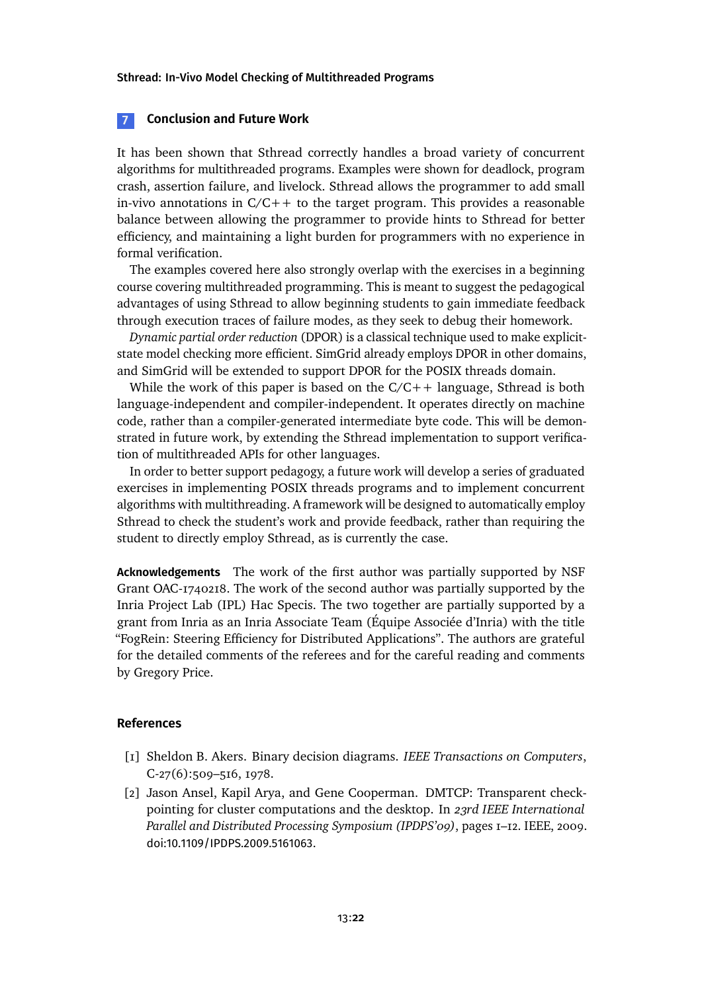## <span id="page-21-0"></span>**7 Conclusion and Future Work**

It has been shown that Sthread correctly handles a broad variety of concurrent algorithms for multithreaded programs. Examples were shown for deadlock, program crash, assertion failure, and livelock. Sthread allows the programmer to add small in-vivo annotations in  $C/C++$  to the target program. This provides a reasonable balance between allowing the programmer to provide hints to Sthread for better efficiency, and maintaining a light burden for programmers with no experience in formal verification.

The examples covered here also strongly overlap with the exercises in a beginning course covering multithreaded programming. This is meant to suggest the pedagogical advantages of using Sthread to allow beginning students to gain immediate feedback through execution traces of failure modes, as they seek to debug their homework.

*Dynamic partial order reduction* (DPOR) is a classical technique used to make explicitstate model checking more efficient. SimGrid already employs DPOR in other domains, and SimGrid will be extended to support DPOR for the POSIX threads domain.

While the work of this paper is based on the  $C/C++$  language, Sthread is both language-independent and compiler-independent. It operates directly on machine code, rather than a compiler-generated intermediate byte code. This will be demonstrated in future work, by extending the Sthread implementation to support verification of multithreaded APIs for other languages.

In order to better support pedagogy, a future work will develop a series of graduated exercises in implementing POSIX threads programs and to implement concurrent algorithms with multithreading. A framework will be designed to automatically employ Sthread to check the student's work and provide feedback, rather than requiring the student to directly employ Sthread, as is currently the case.

**Acknowledgements** The work of the first author was partially supported by NSF Grant OAC-1740218. The work of the second author was partially supported by the Inria Project Lab (IPL) Hac Specis. The two together are partially supported by a grant from Inria as an Inria Associate Team (Équipe Associée d'Inria) with the title "FogRein: Steering Efficiency for Distributed Applications". The authors are grateful for the detailed comments of the referees and for the careful reading and comments by Gregory Price.

#### **References**

- <span id="page-21-2"></span>[1] Sheldon B. Akers. Binary decision diagrams. *IEEE Transactions on Computers*, C-27(6):509–516, 1978.
- <span id="page-21-1"></span>[2] Jason Ansel, Kapil Arya, and Gene Cooperman. DMTCP: Transparent checkpointing for cluster computations and the desktop. In *23rd IEEE International Parallel and Distributed Processing Symposium (IPDPS'09)*, pages 1–12. IEEE, 2009. [doi:10.1109/IPDPS.2009.5161063](http://dx.doi.org/10.1109/IPDPS.2009.5161063).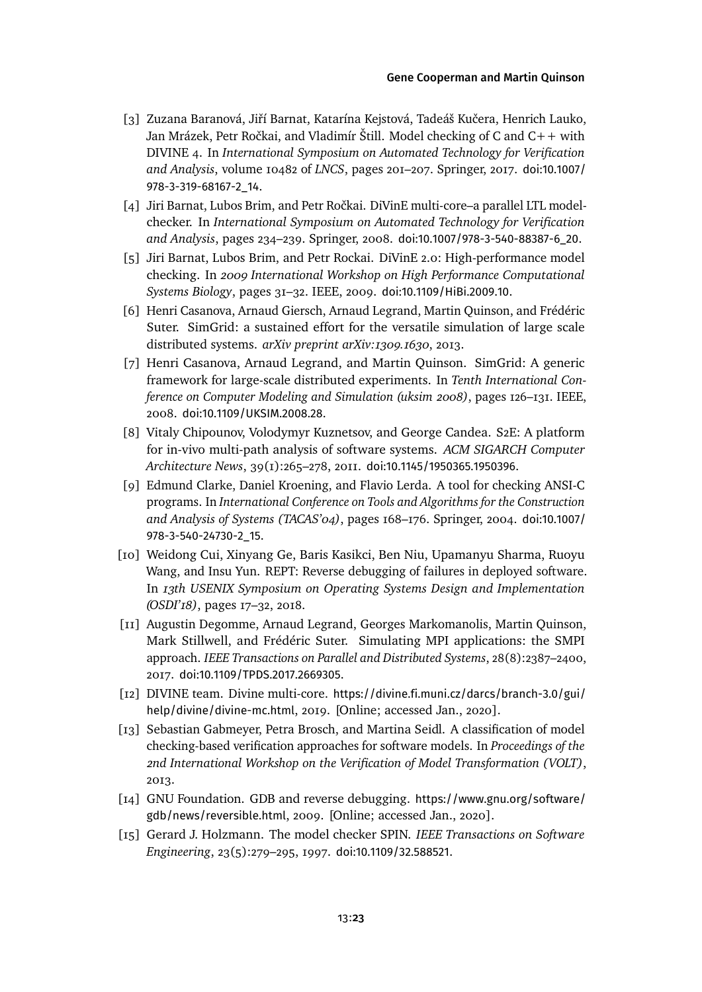#### [Gene Cooperman](#page-25-0) and [Martin Quinson](#page-25-1)

- <span id="page-22-8"></span>[3] Zuzana Baranová, Jiří Barnat, Katarína Kejstová, Tadeáš Kučera, Henrich Lauko, Jan Mrázek, Petr Ročkai, and Vladimír Štill. Model checking of C and C++ with DIVINE 4. In *International Symposium on Automated Technology for Verification and Analysis*, volume 10482 of *LNCS*, pages 201–207. Springer, 2017. [doi:10.1007/](http://dx.doi.org/10.1007/978-3-319-68167-2_14) [978-3-319-68167-2\\_14](http://dx.doi.org/10.1007/978-3-319-68167-2_14).
- <span id="page-22-9"></span>[4] Jiri Barnat, Lubos Brim, and Petr Ročkai. DiVinE multi-core–a parallel LTL modelchecker. In *International Symposium on Automated Technology for Verification and Analysis*, pages 234–239. Springer, 2008. [doi:10.1007/978-3-540-88387-6\\_20](http://dx.doi.org/10.1007/978-3-540-88387-6_20).
- <span id="page-22-11"></span>[5] Jiri Barnat, Lubos Brim, and Petr Rockai. DiVinE 2.0: High-performance model checking. In *2009 International Workshop on High Performance Computational Systems Biology*, pages 31–32. IEEE, 2009. [doi:10.1109/HiBi.2009.10](http://dx.doi.org/10.1109/HiBi.2009.10).
- <span id="page-22-4"></span>[6] Henri Casanova, Arnaud Giersch, Arnaud Legrand, Martin Quinson, and Frédéric Suter. SimGrid: a sustained effort for the versatile simulation of large scale distributed systems. *arXiv preprint arXiv:1309.1630*, 2013.
- <span id="page-22-3"></span>[7] Henri Casanova, Arnaud Legrand, and Martin Quinson. SimGrid: A generic framework for large-scale distributed experiments. In *Tenth International Conference on Computer Modeling and Simulation (uksim 2008)*, pages 126–131. IEEE, 2008. [doi:10.1109/UKSIM.2008.28](http://dx.doi.org/10.1109/UKSIM.2008.28).
- <span id="page-22-12"></span>[8] Vitaly Chipounov, Volodymyr Kuznetsov, and George Candea. S2E: A platform for in-vivo multi-path analysis of software systems. *ACM SIGARCH Computer Architecture News*, 39(1):265–278, 2011. [doi:10.1145/1950365.1950396](http://dx.doi.org/10.1145/1950365.1950396).
- <span id="page-22-5"></span>[9] Edmund Clarke, Daniel Kroening, and Flavio Lerda. A tool for checking ANSI-C programs. In *International Conference on Tools and Algorithms for the Construction and Analysis of Systems (TACAS'04)*, pages 168–176. Springer, 2004. [doi:10.1007/](http://dx.doi.org/10.1007/978-3-540-24730-2_15) [978-3-540-24730-2\\_15](http://dx.doi.org/10.1007/978-3-540-24730-2_15).
- <span id="page-22-1"></span>[10] Weidong Cui, Xinyang Ge, Baris Kasikci, Ben Niu, Upamanyu Sharma, Ruoyu Wang, and Insu Yun. REPT: Reverse debugging of failures in deployed software. In *13th USENIX Symposium on Operating Systems Design and Implementation (OSDI'18)*, pages 17–32, 2018.
- <span id="page-22-0"></span>[11] Augustin Degomme, Arnaud Legrand, Georges Markomanolis, Martin Quinson, Mark Stillwell, and Frédéric Suter. Simulating MPI applications: the SMPI approach. *IEEE Transactions on Parallel and Distributed Systems*, 28(8):2387–2400, 2017. [doi:10.1109/TPDS.2017.2669305](http://dx.doi.org/10.1109/TPDS.2017.2669305).
- <span id="page-22-10"></span>[12] DIVINE team. Divine multi-core. [https://divine.fi.muni.cz/darcs/branch-3.0/gui/](https://divine.fi.muni.cz/darcs/branch-3.0/gui/help/divine/divine-mc.html) [help/divine/divine-mc.html](https://divine.fi.muni.cz/darcs/branch-3.0/gui/help/divine/divine-mc.html), 2019. [Online; accessed Jan., 2020].
- <span id="page-22-7"></span>[13] Sebastian Gabmeyer, Petra Brosch, and Martina Seidl. A classification of model checking-based verification approaches for software models. In *Proceedings of the 2nd International Workshop on the Verification of Model Transformation (VOLT)*, 2013.
- <span id="page-22-2"></span>[14] GNU Foundation. GDB and reverse debugging. [https://www.gnu.org/software/](https://www.gnu.org/software/gdb/news/reversible.html) [gdb/news/reversible.html](https://www.gnu.org/software/gdb/news/reversible.html), 2009. [Online; accessed Jan., 2020].
- <span id="page-22-6"></span>[15] Gerard J. Holzmann. The model checker SPIN. *IEEE Transactions on Software Engineering*, 23(5):279–295, 1997. [doi:10.1109/32.588521](http://dx.doi.org/10.1109/32.588521).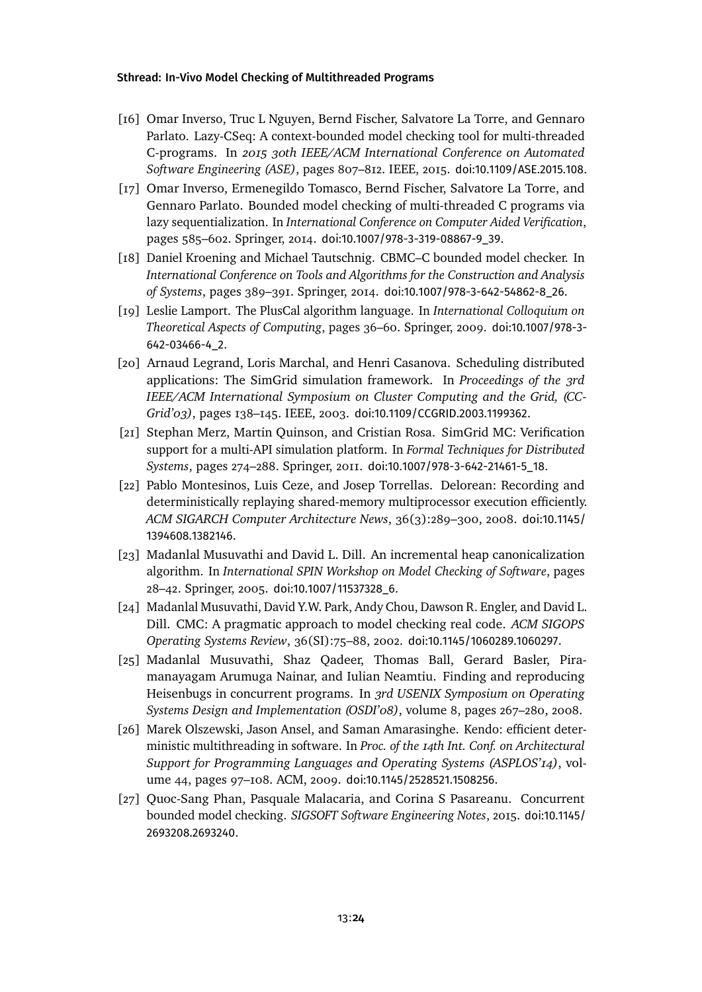- <span id="page-23-8"></span>[16] Omar Inverso, Truc L Nguyen, Bernd Fischer, Salvatore La Torre, and Gennaro Parlato. Lazy-CSeq: A context-bounded model checking tool for multi-threaded C-programs. In *2015 30th IEEE/ACM International Conference on Automated Software Engineering (ASE)*, pages 807–812. IEEE, 2015. [doi:10.1109/ASE.2015.108](http://dx.doi.org/10.1109/ASE.2015.108).
- <span id="page-23-9"></span>[17] Omar Inverso, Ermenegildo Tomasco, Bernd Fischer, Salvatore La Torre, and Gennaro Parlato. Bounded model checking of multi-threaded C programs via lazy sequentialization. In *International Conference on Computer Aided Verification*, pages 585–602. Springer, 2014. [doi:10.1007/978-3-319-08867-9\\_39](http://dx.doi.org/10.1007/978-3-319-08867-9_39).
- <span id="page-23-6"></span>[18] Daniel Kroening and Michael Tautschnig. CBMC–C bounded model checker. In *International Conference on Tools and Algorithms for the Construction and Analysis of Systems*, pages 389–391. Springer, 2014. [doi:10.1007/978-3-642-54862-8\\_26](http://dx.doi.org/10.1007/978-3-642-54862-8_26).
- <span id="page-23-3"></span>[19] Leslie Lamport. The PlusCal algorithm language. In *International Colloquium on Theoretical Aspects of Computing*, pages 36–60. Springer, 2009. [doi:10.1007/978-3-](http://dx.doi.org/10.1007/978-3-642-03466-4_2) [642-03466-4\\_2](http://dx.doi.org/10.1007/978-3-642-03466-4_2).
- <span id="page-23-2"></span>[20] Arnaud Legrand, Loris Marchal, and Henri Casanova. Scheduling distributed applications: The SimGrid simulation framework. In *Proceedings of the 3rd IEEE/ACM International Symposium on Cluster Computing and the Grid, (CC-Grid'03)*, pages 138–145. IEEE, 2003. [doi:10.1109/CCGRID.2003.1199362](http://dx.doi.org/10.1109/CCGRID.2003.1199362).
- <span id="page-23-4"></span>[21] Stephan Merz, Martin Quinson, and Cristian Rosa. SimGrid MC: Verification support for a multi-API simulation platform. In *Formal Techniques for Distributed Systems*, pages 274–288. Springer, 2011. [doi:10.1007/978-3-642-21461-5\\_18](http://dx.doi.org/10.1007/978-3-642-21461-5_18).
- <span id="page-23-0"></span>[22] Pablo Montesinos, Luis Ceze, and Josep Torrellas. Delorean: Recording and deterministically replaying shared-memory multiprocessor execution efficiently. *ACM SIGARCH Computer Architecture News*, 36(3):289–300, 2008. [doi:10.1145/](http://dx.doi.org/10.1145/1394608.1382146) [1394608.1382146](http://dx.doi.org/10.1145/1394608.1382146).
- <span id="page-23-7"></span>[23] Madanlal Musuvathi and David L. Dill. An incremental heap canonicalization algorithm. In *International SPIN Workshop on Model Checking of Software*, pages 28–42. Springer, 2005. [doi:10.1007/11537328\\_6](http://dx.doi.org/10.1007/11537328_6).
- <span id="page-23-5"></span>[24] Madanlal Musuvathi, David Y.W. Park, Andy Chou, Dawson R. Engler, and David L. Dill. CMC: A pragmatic approach to model checking real code. *ACM SIGOPS Operating Systems Review*, 36(SI):75–88, 2002. [doi:10.1145/1060289.1060297](http://dx.doi.org/10.1145/1060289.1060297).
- <span id="page-23-11"></span>[25] Madanlal Musuvathi, Shaz Qadeer, Thomas Ball, Gerard Basler, Piramanayagam Arumuga Nainar, and Iulian Neamtiu. Finding and reproducing Heisenbugs in concurrent programs. In *3rd USENIX Symposium on Operating Systems Design and Implementation (OSDI'08)*, volume 8, pages 267–280, 2008.
- <span id="page-23-1"></span>[26] Marek Olszewski, Jason Ansel, and Saman Amarasinghe. Kendo: efficient deterministic multithreading in software. In *Proc. of the 14th Int. Conf. on Architectural Support for Programming Languages and Operating Systems (ASPLOS'14)*, volume 44, pages 97–108. ACM, 2009. [doi:10.1145/2528521.1508256](http://dx.doi.org/10.1145/2528521.1508256).
- <span id="page-23-10"></span>[27] Quoc-Sang Phan, Pasquale Malacaria, and Corina S Pasareanu. Concurrent bounded model checking. *SIGSOFT Software Engineering Notes*, 2015. [doi:10.1145/](http://dx.doi.org/10.1145/2693208.2693240) [2693208.2693240](http://dx.doi.org/10.1145/2693208.2693240).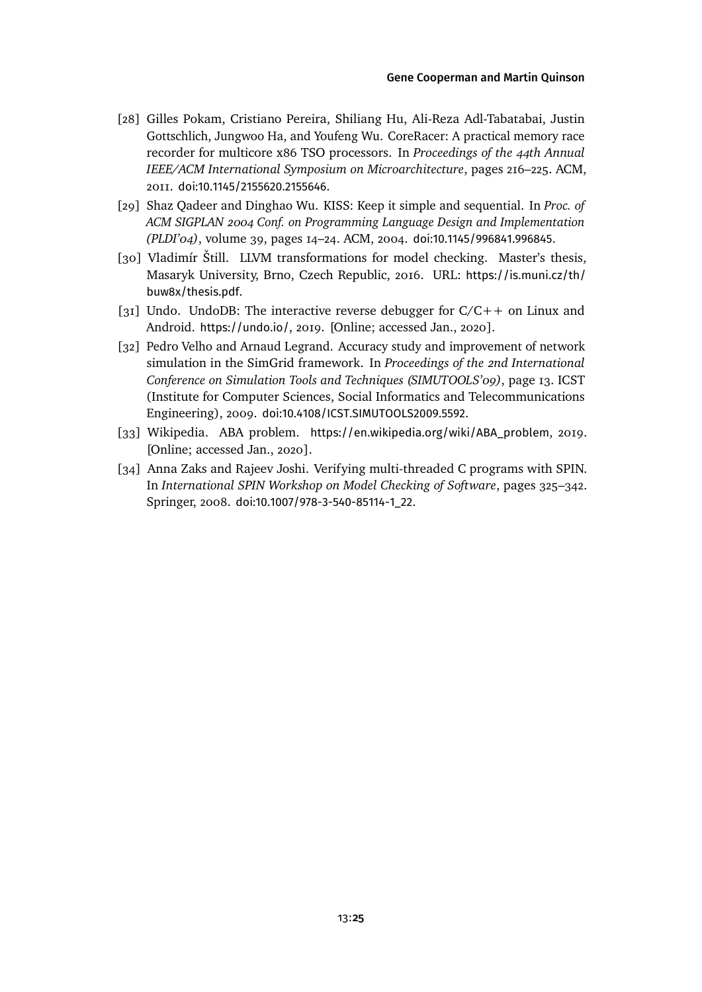- <span id="page-24-0"></span>[28] Gilles Pokam, Cristiano Pereira, Shiliang Hu, Ali-Reza Adl-Tabatabai, Justin Gottschlich, Jungwoo Ha, and Youfeng Wu. CoreRacer: A practical memory race recorder for multicore x86 TSO processors. In *Proceedings of the 44th Annual IEEE/ACM International Symposium on Microarchitecture*, pages 216–225. ACM, 2011. [doi:10.1145/2155620.2155646](http://dx.doi.org/10.1145/2155620.2155646).
- <span id="page-24-4"></span>[29] Shaz Qadeer and Dinghao Wu. KISS: Keep it simple and sequential. In *Proc. of ACM SIGPLAN 2004 Conf. on Programming Language Design and Implementation (PLDI'04)*, volume 39, pages 14–24. ACM, 2004. [doi:10.1145/996841.996845](http://dx.doi.org/10.1145/996841.996845).
- <span id="page-24-6"></span>[30] Vladimír Štill. LLVM transformations for model checking. Master's thesis, Masaryk University, Brno, Czech Republic, 2016. URL: [https://is.muni.cz/th/](https://is.muni.cz/th/buw8x/thesis.pdf) [buw8x/thesis.pdf](https://is.muni.cz/th/buw8x/thesis.pdf).
- <span id="page-24-1"></span>[31] Undo. UndoDB: The interactive reverse debugger for  $C/C++$  on Linux and Android. <https://undo.io/>, 2019. [Online; accessed Jan., 2020].
- <span id="page-24-3"></span>[32] Pedro Velho and Arnaud Legrand. Accuracy study and improvement of network simulation in the SimGrid framework. In *Proceedings of the 2nd International Conference on Simulation Tools and Techniques (SIMUTOOLS'09)*, page 13. ICST (Institute for Computer Sciences, Social Informatics and Telecommunications Engineering), 2009. [doi:10.4108/ICST.SIMUTOOLS2009.5592](http://dx.doi.org/10.4108/ICST.SIMUTOOLS2009.5592).
- <span id="page-24-2"></span>[33] Wikipedia. ABA problem. [https://en.wikipedia.org/wiki/ABA\\_problem](https://en.wikipedia.org/wiki/ABA_problem), 2019. [Online; accessed Jan., 2020].
- <span id="page-24-5"></span>[34] Anna Zaks and Rajeev Joshi. Verifying multi-threaded C programs with SPIN. In *International SPIN Workshop on Model Checking of Software*, pages 325–342. Springer, 2008. [doi:10.1007/978-3-540-85114-1\\_22](http://dx.doi.org/10.1007/978-3-540-85114-1_22).